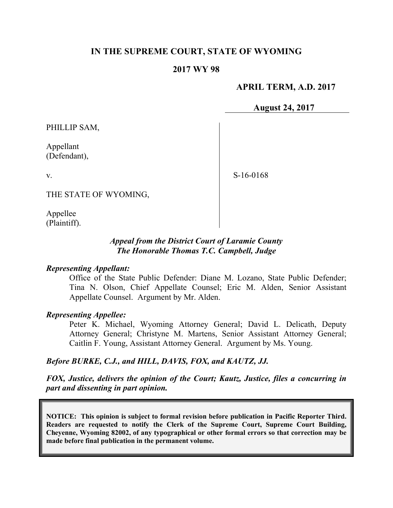### **IN THE SUPREME COURT, STATE OF WYOMING**

#### **2017 WY 98**

### **APRIL TERM, A.D. 2017**

**August 24, 2017**

PHILLIP SAM,

Appellant (Defendant),

S-16-0168

THE STATE OF WYOMING,

Appellee (Plaintiff).

v.

#### *Appeal from the District Court of Laramie County The Honorable Thomas T.C. Campbell, Judge*

#### *Representing Appellant:*

Office of the State Public Defender: Diane M. Lozano, State Public Defender; Tina N. Olson, Chief Appellate Counsel; Eric M. Alden, Senior Assistant Appellate Counsel. Argument by Mr. Alden.

#### *Representing Appellee:*

Peter K. Michael, Wyoming Attorney General; David L. Delicath, Deputy Attorney General; Christyne M. Martens, Senior Assistant Attorney General; Caitlin F. Young, Assistant Attorney General. Argument by Ms. Young.

#### *Before BURKE, C.J., and HILL, DAVIS, FOX, and KAUTZ, JJ.*

*FOX, Justice, delivers the opinion of the Court; Kautz, Justice, files a concurring in part and dissenting in part opinion.*

**NOTICE: This opinion is subject to formal revision before publication in Pacific Reporter Third. Readers are requested to notify the Clerk of the Supreme Court, Supreme Court Building, Cheyenne, Wyoming 82002, of any typographical or other formal errors so that correction may be made before final publication in the permanent volume.**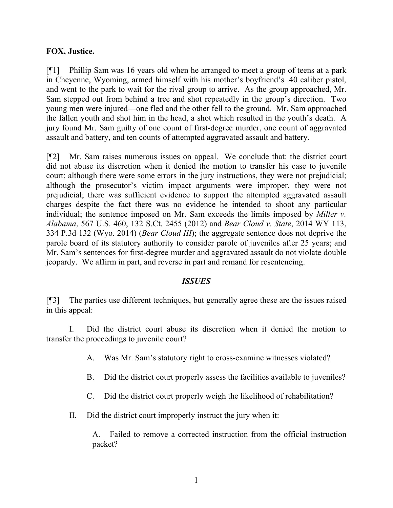### **FOX, Justice.**

[¶1] Phillip Sam was 16 years old when he arranged to meet a group of teens at a park in Cheyenne, Wyoming, armed himself with his mother's boyfriend's .40 caliber pistol, and went to the park to wait for the rival group to arrive. As the group approached, Mr. Sam stepped out from behind a tree and shot repeatedly in the group's direction. Two young men were injured—one fled and the other fell to the ground. Mr. Sam approached the fallen youth and shot him in the head, a shot which resulted in the youth's death. A jury found Mr. Sam guilty of one count of first-degree murder, one count of aggravated assault and battery, and ten counts of attempted aggravated assault and battery.

[¶2] Mr. Sam raises numerous issues on appeal. We conclude that: the district court did not abuse its discretion when it denied the motion to transfer his case to juvenile court; although there were some errors in the jury instructions, they were not prejudicial; although the prosecutor's victim impact arguments were improper, they were not prejudicial; there was sufficient evidence to support the attempted aggravated assault charges despite the fact there was no evidence he intended to shoot any particular individual; the sentence imposed on Mr. Sam exceeds the limits imposed by *Miller v. Alabama*, 567 U.S. 460, 132 S.Ct. 2455 (2012) and *Bear Cloud v. State*, 2014 WY 113, 334 P.3d 132 (Wyo. 2014) (*Bear Cloud III*); the aggregate sentence does not deprive the parole board of its statutory authority to consider parole of juveniles after 25 years; and Mr. Sam's sentences for first-degree murder and aggravated assault do not violate double jeopardy. We affirm in part, and reverse in part and remand for resentencing.

#### *ISSUES*

[¶3] The parties use different techniques, but generally agree these are the issues raised in this appeal:

I. Did the district court abuse its discretion when it denied the motion to transfer the proceedings to juvenile court?

- A. Was Mr. Sam's statutory right to cross-examine witnesses violated?
- B. Did the district court properly assess the facilities available to juveniles?
- C. Did the district court properly weigh the likelihood of rehabilitation?
- II. Did the district court improperly instruct the jury when it:

A. Failed to remove a corrected instruction from the official instruction packet?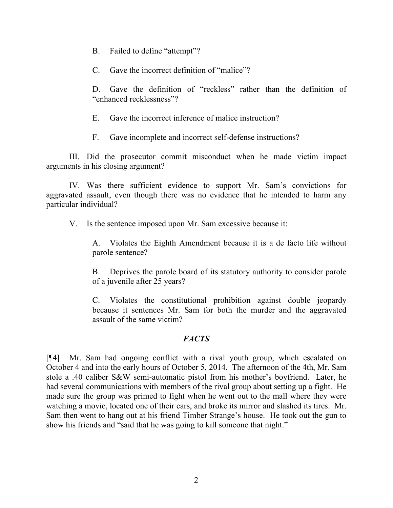- B. Failed to define "attempt"?
- C. Gave the incorrect definition of "malice"?

D. Gave the definition of "reckless" rather than the definition of "enhanced recklessness"?

- E. Gave the incorrect inference of malice instruction?
- F. Gave incomplete and incorrect self-defense instructions?

III. Did the prosecutor commit misconduct when he made victim impact arguments in his closing argument?

IV. Was there sufficient evidence to support Mr. Sam's convictions for aggravated assault, even though there was no evidence that he intended to harm any particular individual?

V. Is the sentence imposed upon Mr. Sam excessive because it:

A. Violates the Eighth Amendment because it is a de facto life without parole sentence?

B. Deprives the parole board of its statutory authority to consider parole of a juvenile after 25 years?

C. Violates the constitutional prohibition against double jeopardy because it sentences Mr. Sam for both the murder and the aggravated assault of the same victim?

### *FACTS*

[¶4] Mr. Sam had ongoing conflict with a rival youth group, which escalated on October 4 and into the early hours of October 5, 2014. The afternoon of the 4th, Mr. Sam stole a .40 caliber S&W semi-automatic pistol from his mother's boyfriend. Later, he had several communications with members of the rival group about setting up a fight. He made sure the group was primed to fight when he went out to the mall where they were watching a movie, located one of their cars, and broke its mirror and slashed its tires. Mr. Sam then went to hang out at his friend Timber Strange's house. He took out the gun to show his friends and "said that he was going to kill someone that night."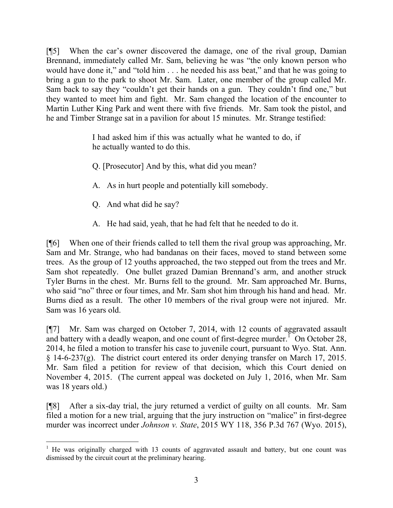[¶5] When the car's owner discovered the damage, one of the rival group, Damian Brennand, immediately called Mr. Sam, believing he was "the only known person who would have done it," and "told him . . . he needed his ass beat," and that he was going to bring a gun to the park to shoot Mr. Sam. Later, one member of the group called Mr. Sam back to say they "couldn't get their hands on a gun. They couldn't find one," but they wanted to meet him and fight. Mr. Sam changed the location of the encounter to Martin Luther King Park and went there with five friends. Mr. Sam took the pistol, and he and Timber Strange sat in a pavilion for about 15 minutes. Mr. Strange testified:

> I had asked him if this was actually what he wanted to do, if he actually wanted to do this.

Q. [Prosecutor] And by this, what did you mean?

- A. As in hurt people and potentially kill somebody.
- Q. And what did he say?

A. He had said, yeah, that he had felt that he needed to do it.

[¶6] When one of their friends called to tell them the rival group was approaching, Mr. Sam and Mr. Strange, who had bandanas on their faces, moved to stand between some trees. As the group of 12 youths approached, the two stepped out from the trees and Mr. Sam shot repeatedly. One bullet grazed Damian Brennand's arm, and another struck Tyler Burns in the chest. Mr. Burns fell to the ground. Mr. Sam approached Mr. Burns, who said "no" three or four times, and Mr. Sam shot him through his hand and head. Mr. Burns died as a result. The other 10 members of the rival group were not injured. Mr. Sam was 16 years old.

[¶7] Mr. Sam was charged on October 7, 2014, with 12 counts of aggravated assault and battery with a deadly weapon, and one count of first-degree murder.<sup> $\overline{1}$ </sup> On October 28, 2014, he filed a motion to transfer his case to juvenile court, pursuant to Wyo. Stat. Ann. § 14-6-237(g). The district court entered its order denying transfer on March 17, 2015. Mr. Sam filed a petition for review of that decision, which this Court denied on November 4, 2015. (The current appeal was docketed on July 1, 2016, when Mr. Sam was 18 years old.)

[¶8] After a six-day trial, the jury returned a verdict of guilty on all counts. Mr. Sam filed a motion for a new trial, arguing that the jury instruction on "malice" in first-degree murder was incorrect under *Johnson v. State*, 2015 WY 118, 356 P.3d 767 (Wyo. 2015),

 $1$  He was originally charged with 13 counts of aggravated assault and battery, but one count was dismissed by the circuit court at the preliminary hearing.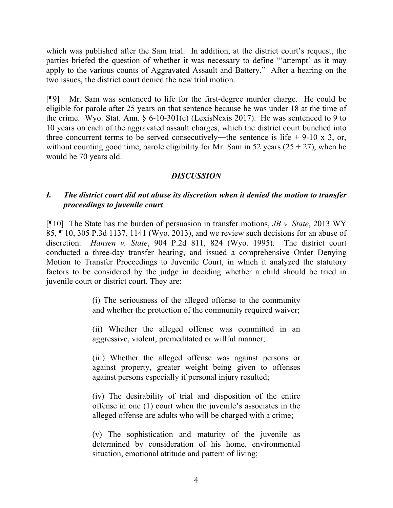which was published after the Sam trial. In addition, at the district court's request, the parties briefed the question of whether it was necessary to define "'attempt' as it may apply to the various counts of Aggravated Assault and Battery." After a hearing on the two issues, the district court denied the new trial motion.

[¶9] Mr. Sam was sentenced to life for the first-degree murder charge. He could be eligible for parole after 25 years on that sentence because he was under 18 at the time of the crime. Wyo. Stat. Ann. § 6-10-301(c) (LexisNexis 2017). He was sentenced to 9 to 10 years on each of the aggravated assault charges, which the district court bunched into three concurrent terms to be served consecutively—the sentence is life  $+$  9-10 x 3, or, without counting good time, parole eligibility for Mr. Sam in 52 years  $(25 + 27)$ , when he would be 70 years old.

# *DISCUSSION*

## *I. The district court did not abuse its discretion when it denied the motion to transfer proceedings to juvenile court*

[¶10] The State has the burden of persuasion in transfer motions, *JB v. State*, 2013 WY 85, ¶ 10, 305 P.3d 1137, 1141 (Wyo. 2013), and we review such decisions for an abuse of discretion. *Hansen v. State*, 904 P.2d 811, 824 (Wyo. 1995). The district court conducted a three-day transfer hearing, and issued a comprehensive Order Denying Motion to Transfer Proceedings to Juvenile Court, in which it analyzed the statutory factors to be considered by the judge in deciding whether a child should be tried in juvenile court or district court. They are:

> (i) The seriousness of the alleged offense to the community and whether the protection of the community required waiver;

> (ii) Whether the alleged offense was committed in an aggressive, violent, premeditated or willful manner;

> (iii) Whether the alleged offense was against persons or against property, greater weight being given to offenses against persons especially if personal injury resulted;

> (iv) The desirability of trial and disposition of the entire offense in one (1) court when the juvenile's associates in the alleged offense are adults who will be charged with a crime;

> (v) The sophistication and maturity of the juvenile as determined by consideration of his home, environmental situation, emotional attitude and pattern of living;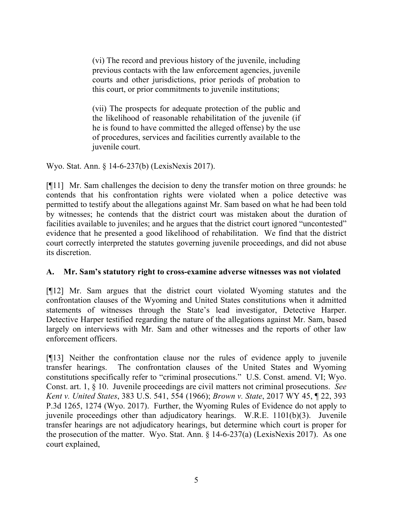(vi) The record and previous history of the juvenile, including previous contacts with the law enforcement agencies, juvenile courts and other jurisdictions, prior periods of probation to this court, or prior commitments to juvenile institutions;

(vii) The prospects for adequate protection of the public and the likelihood of reasonable rehabilitation of the juvenile (if he is found to have committed the alleged offense) by the use of procedures, services and facilities currently available to the juvenile court.

Wyo. Stat. Ann. § 14-6-237(b) (LexisNexis 2017).

[¶11] Mr. Sam challenges the decision to deny the transfer motion on three grounds: he contends that his confrontation rights were violated when a police detective was permitted to testify about the allegations against Mr. Sam based on what he had been told by witnesses; he contends that the district court was mistaken about the duration of facilities available to juveniles; and he argues that the district court ignored "uncontested" evidence that he presented a good likelihood of rehabilitation. We find that the district court correctly interpreted the statutes governing juvenile proceedings, and did not abuse its discretion.

# **A. Mr. Sam's statutory right to cross-examine adverse witnesses was not violated**

[¶12] Mr. Sam argues that the district court violated Wyoming statutes and the confrontation clauses of the Wyoming and United States constitutions when it admitted statements of witnesses through the State's lead investigator, Detective Harper. Detective Harper testified regarding the nature of the allegations against Mr. Sam, based largely on interviews with Mr. Sam and other witnesses and the reports of other law enforcement officers.

[¶13] Neither the confrontation clause nor the rules of evidence apply to juvenile transfer hearings. The confrontation clauses of the United States and Wyoming constitutions specifically refer to "criminal prosecutions." U.S. Const. amend. VI; Wyo. Const. art. 1, § 10. Juvenile proceedings are civil matters not criminal prosecutions. *See Kent v. United States*, 383 U.S. 541, 554 (1966); *Brown v. State*, 2017 WY 45, ¶ 22, 393 P.3d 1265, 1274 (Wyo. 2017). Further, the Wyoming Rules of Evidence do not apply to juvenile proceedings other than adjudicatory hearings. W.R.E. 1101(b)(3). Juvenile transfer hearings are not adjudicatory hearings, but determine which court is proper for the prosecution of the matter. Wyo. Stat. Ann. § 14-6-237(a) (LexisNexis 2017). As one court explained,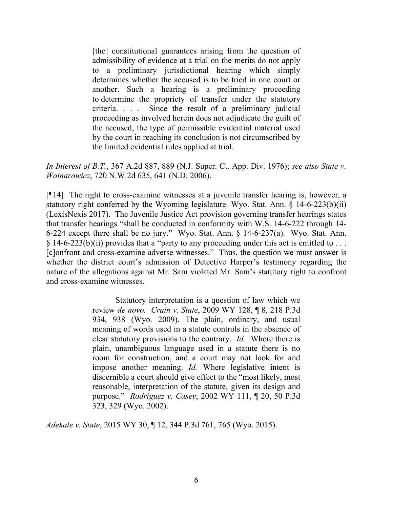[the] constitutional guarantees arising from the question of admissibility of evidence at a trial on the merits do not apply to a preliminary jurisdictional hearing which simply determines whether the accused is to be tried in one court or another. Such a hearing is a preliminary proceeding to determine the propriety of transfer under the statutory criteria. . . . Since the result of a preliminary judicial proceeding as involved herein does not adjudicate the guilt of the accused, the type of permissible evidential material used by the court in reaching its conclusion is not circumscribed by the limited evidential rules applied at trial.

*In Interest of B.T.*, 367 A.2d 887, 889 (N.J. Super. Ct. App. Div. 1976); *see also State v. Woinarowicz*, 720 N.W.2d 635, 641 (N.D. 2006).

[¶14] The right to cross-examine witnesses at a juvenile transfer hearing is, however, a statutory right conferred by the Wyoming legislature. Wyo. Stat. Ann. § 14-6-223(b)(ii) (LexisNexis 2017). The Juvenile Justice Act provision governing transfer hearings states that transfer hearings "shall be conducted in conformity with W.S. 14-6-222 through 14- 6-224 except there shall be no jury." Wyo. Stat. Ann. § 14-6-237(a). Wyo. Stat. Ann.  $§$  14-6-223(b)(ii) provides that a "party to any proceeding under this act is entitled to ... [c]onfront and cross-examine adverse witnesses." Thus, the question we must answer is whether the district court's admission of Detective Harper's testimony regarding the nature of the allegations against Mr. Sam violated Mr. Sam's statutory right to confront and cross-examine witnesses.

> Statutory interpretation is a question of law which we review *de novo. Crain v. State*, 2009 WY 128, ¶ 8, 218 P.3d 934, 938 (Wyo. 2009). The plain, ordinary, and usual meaning of words used in a statute controls in the absence of clear statutory provisions to the contrary. *Id.* Where there is plain, unambiguous language used in a statute there is no room for construction, and a court may not look for and impose another meaning. *Id.* Where legislative intent is discernible a court should give effect to the "most likely, most reasonable, interpretation of the statute, given its design and purpose." *Rodriguez v. Casey*, 2002 WY 111, ¶ 20, 50 P.3d 323, 329 (Wyo. 2002).

*Adekale v. State*, 2015 WY 30, ¶ 12, 344 P.3d 761, 765 (Wyo. 2015).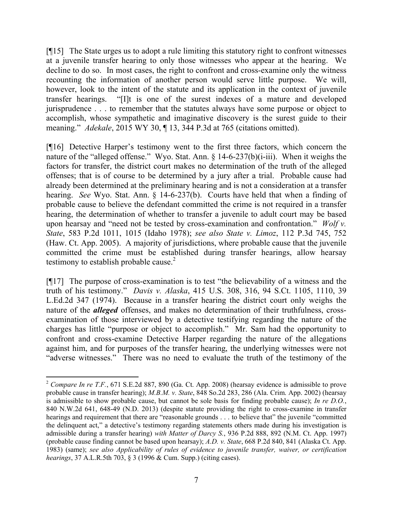[¶15] The State urges us to adopt a rule limiting this statutory right to confront witnesses at a juvenile transfer hearing to only those witnesses who appear at the hearing. We decline to do so. In most cases, the right to confront and cross-examine only the witness recounting the information of another person would serve little purpose. We will, however, look to the intent of the statute and its application in the context of juvenile transfer hearings. "[I]t is one of the surest indexes of a mature and developed jurisprudence . . . to remember that the statutes always have some purpose or object to accomplish, whose sympathetic and imaginative discovery is the surest guide to their meaning." *Adekale*, 2015 WY 30, ¶ 13, 344 P.3d at 765 (citations omitted).

[¶16] Detective Harper's testimony went to the first three factors, which concern the nature of the "alleged offense." Wyo. Stat. Ann. § 14-6-237(b)(i-iii). When it weighs the factors for transfer, the district court makes no determination of the truth of the alleged offenses; that is of course to be determined by a jury after a trial. Probable cause had already been determined at the preliminary hearing and is not a consideration at a transfer hearing. *See* Wyo. Stat. Ann. § 14-6-237(b). Courts have held that when a finding of probable cause to believe the defendant committed the crime is not required in a transfer hearing, the determination of whether to transfer a juvenile to adult court may be based upon hearsay and "need not be tested by cross-examination and confrontation." *Wolf v. State*, 583 P.2d 1011, 1015 (Idaho 1978); *see also State v. Limoz*, 112 P.3d 745, 752 (Haw. Ct. App. 2005). A majority of jurisdictions, where probable cause that the juvenile committed the crime must be established during transfer hearings, allow hearsay testimony to establish probable cause. $2$ 

[¶17] The purpose of cross-examination is to test "the believability of a witness and the truth of his testimony." *Davis v. Alaska*, 415 U.S. 308, 316, 94 S.Ct. 1105, 1110, 39 L.Ed.2d 347 (1974). Because in a transfer hearing the district court only weighs the nature of the *alleged* offenses, and makes no determination of their truthfulness, crossexamination of those interviewed by a detective testifying regarding the nature of the charges has little "purpose or object to accomplish." Mr. Sam had the opportunity to confront and cross-examine Detective Harper regarding the nature of the allegations against him, and for purposes of the transfer hearing, the underlying witnesses were not "adverse witnesses." There was no need to evaluate the truth of the testimony of the

<sup>2</sup> *Compare In re T.F.*, 671 S.E.2d 887, 890 (Ga. Ct. App. 2008) (hearsay evidence is admissible to prove probable cause in transfer hearing); *M.B.M. v. State*, 848 So.2d 283, 286 (Ala. Crim. App. 2002) (hearsay is admissible to show probable cause, but cannot be sole basis for finding probable cause); *In re D.O.*, 840 N.W.2d 641, 648-49 (N.D. 2013) (despite statute providing the right to cross-examine in transfer hearings and requirement that there are "reasonable grounds . . . to believe that" the juvenile "committed" the delinquent act," a detective's testimony regarding statements others made during his investigation is admissible during a transfer hearing) *with Matter of Darcy S.*, 936 P.2d 888, 892 (N.M. Ct. App. 1997) (probable cause finding cannot be based upon hearsay); *A.D. v. State*, 668 P.2d 840, 841 (Alaska Ct. App. 1983) (same); *see also Applicability of rules of evidence to juvenile transfer, waiver, or certification hearings*, 37 A.L.R.5th 703, § 3 (1996 & Cum. Supp.) (citing cases).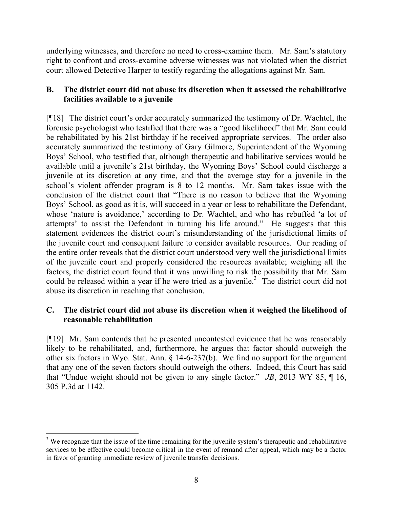underlying witnesses, and therefore no need to cross-examine them. Mr. Sam's statutory right to confront and cross-examine adverse witnesses was not violated when the district court allowed Detective Harper to testify regarding the allegations against Mr. Sam.

## **B. The district court did not abuse its discretion when it assessed the rehabilitative facilities available to a juvenile**

[¶18] The district court's order accurately summarized the testimony of Dr. Wachtel, the forensic psychologist who testified that there was a "good likelihood" that Mr. Sam could be rehabilitated by his 21st birthday if he received appropriate services. The order also accurately summarized the testimony of Gary Gilmore, Superintendent of the Wyoming Boys' School, who testified that, although therapeutic and habilitative services would be available until a juvenile's 21st birthday, the Wyoming Boys' School could discharge a juvenile at its discretion at any time, and that the average stay for a juvenile in the school's violent offender program is 8 to 12 months. Mr. Sam takes issue with the conclusion of the district court that "There is no reason to believe that the Wyoming Boys' School, as good as it is, will succeed in a year or less to rehabilitate the Defendant, whose 'nature is avoidance,' according to Dr. Wachtel, and who has rebuffed 'a lot of attempts' to assist the Defendant in turning his life around." He suggests that this statement evidences the district court's misunderstanding of the jurisdictional limits of the juvenile court and consequent failure to consider available resources. Our reading of the entire order reveals that the district court understood very well the jurisdictional limits of the juvenile court and properly considered the resources available; weighing all the factors, the district court found that it was unwilling to risk the possibility that Mr. Sam could be released within a year if he were tried as a juvenile.<sup>3</sup> The district court did not abuse its discretion in reaching that conclusion.

## **C. The district court did not abuse its discretion when it weighed the likelihood of reasonable rehabilitation**

[¶19] Mr. Sam contends that he presented uncontested evidence that he was reasonably likely to be rehabilitated, and, furthermore, he argues that factor should outweigh the other six factors in Wyo. Stat. Ann. § 14-6-237(b). We find no support for the argument that any one of the seven factors should outweigh the others. Indeed, this Court has said that "Undue weight should not be given to any single factor." *JB*, 2013 WY 85, ¶ 16, 305 P.3d at 1142.

<sup>&</sup>lt;sup>3</sup> We recognize that the issue of the time remaining for the juvenile system's therapeutic and rehabilitative services to be effective could become critical in the event of remand after appeal, which may be a factor in favor of granting immediate review of juvenile transfer decisions.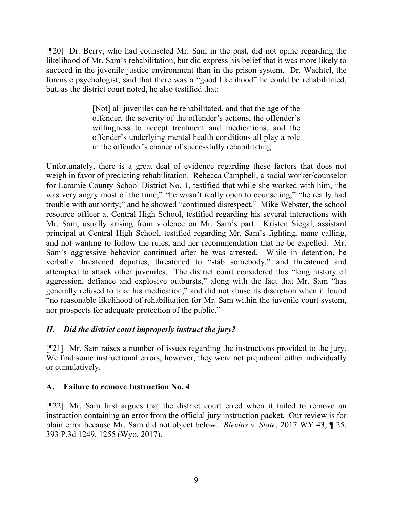[¶20] Dr. Berry, who had counseled Mr. Sam in the past, did not opine regarding the likelihood of Mr. Sam's rehabilitation, but did express his belief that it was more likely to succeed in the juvenile justice environment than in the prison system. Dr. Wachtel, the forensic psychologist, said that there was a "good likelihood" he could be rehabilitated, but, as the district court noted, he also testified that:

> [Not] all juveniles can be rehabilitated, and that the age of the offender, the severity of the offender's actions, the offender's willingness to accept treatment and medications, and the offender's underlying mental health conditions all play a role in the offender's chance of successfully rehabilitating.

Unfortunately, there is a great deal of evidence regarding these factors that does not weigh in favor of predicting rehabilitation. Rebecca Campbell, a social worker/counselor for Laramie County School District No. 1, testified that while she worked with him, "he was very angry most of the time;" "he wasn't really open to counseling;" "he really had trouble with authority;" and he showed "continued disrespect." Mike Webster, the school resource officer at Central High School, testified regarding his several interactions with Mr. Sam, usually arising from violence on Mr. Sam's part. Kristen Siegal, assistant principal at Central High School, testified regarding Mr. Sam's fighting, name calling, and not wanting to follow the rules, and her recommendation that he be expelled. Mr. Sam's aggressive behavior continued after he was arrested. While in detention, he verbally threatened deputies, threatened to "stab somebody," and threatened and attempted to attack other juveniles. The district court considered this "long history of aggression, defiance and explosive outbursts," along with the fact that Mr. Sam "has generally refused to take his medication," and did not abuse its discretion when it found "no reasonable likelihood of rehabilitation for Mr. Sam within the juvenile court system, nor prospects for adequate protection of the public."

# *II. Did the district court improperly instruct the jury?*

[¶21] Mr. Sam raises a number of issues regarding the instructions provided to the jury. We find some instructional errors; however, they were not prejudicial either individually or cumulatively.

# **A. Failure to remove Instruction No. 4**

[¶22] Mr. Sam first argues that the district court erred when it failed to remove an instruction containing an error from the official jury instruction packet. Our review is for plain error because Mr. Sam did not object below. *Blevins v. State*, 2017 WY 43, ¶ 25, 393 P.3d 1249, 1255 (Wyo. 2017).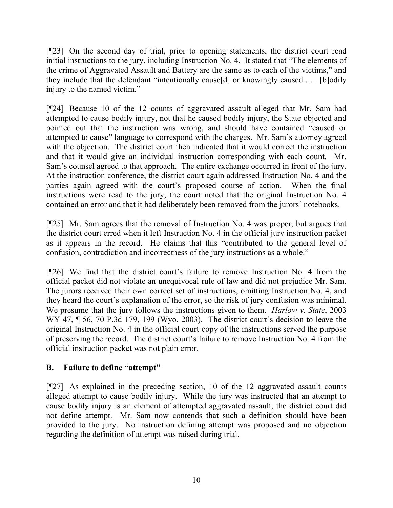[¶23] On the second day of trial, prior to opening statements, the district court read initial instructions to the jury, including Instruction No. 4. It stated that "The elements of the crime of Aggravated Assault and Battery are the same as to each of the victims," and they include that the defendant "intentionally cause[d] or knowingly caused . . . [b]odily injury to the named victim."

[¶24] Because 10 of the 12 counts of aggravated assault alleged that Mr. Sam had attempted to cause bodily injury, not that he caused bodily injury, the State objected and pointed out that the instruction was wrong, and should have contained "caused or attempted to cause" language to correspond with the charges. Mr. Sam's attorney agreed with the objection. The district court then indicated that it would correct the instruction and that it would give an individual instruction corresponding with each count. Mr. Sam's counsel agreed to that approach. The entire exchange occurred in front of the jury. At the instruction conference, the district court again addressed Instruction No. 4 and the parties again agreed with the court's proposed course of action. When the final instructions were read to the jury, the court noted that the original Instruction No. 4 contained an error and that it had deliberately been removed from the jurors' notebooks.

[¶25] Mr. Sam agrees that the removal of Instruction No. 4 was proper, but argues that the district court erred when it left Instruction No. 4 in the official jury instruction packet as it appears in the record. He claims that this "contributed to the general level of confusion, contradiction and incorrectness of the jury instructions as a whole."

[¶26] We find that the district court's failure to remove Instruction No. 4 from the official packet did not violate an unequivocal rule of law and did not prejudice Mr. Sam. The jurors received their own correct set of instructions, omitting Instruction No. 4, and they heard the court's explanation of the error, so the risk of jury confusion was minimal. We presume that the jury follows the instructions given to them. *Harlow v. State*, 2003 WY 47,  $\P$  56, 70 P.3d 179, 199 (Wyo. 2003). The district court's decision to leave the original Instruction No. 4 in the official court copy of the instructions served the purpose of preserving the record. The district court's failure to remove Instruction No. 4 from the official instruction packet was not plain error.

# **B. Failure to define "attempt"**

[¶27] As explained in the preceding section, 10 of the 12 aggravated assault counts alleged attempt to cause bodily injury. While the jury was instructed that an attempt to cause bodily injury is an element of attempted aggravated assault, the district court did not define attempt. Mr. Sam now contends that such a definition should have been provided to the jury. No instruction defining attempt was proposed and no objection regarding the definition of attempt was raised during trial.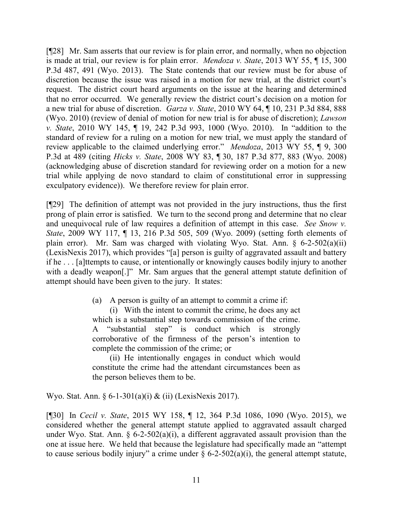[¶28] Mr. Sam asserts that our review is for plain error, and normally, when no objection is made at trial, our review is for plain error. *Mendoza v. State*, 2013 WY 55, ¶ 15, 300 P.3d 487, 491 (Wyo. 2013). The State contends that our review must be for abuse of discretion because the issue was raised in a motion for new trial, at the district court's request. The district court heard arguments on the issue at the hearing and determined that no error occurred. We generally review the district court's decision on a motion for a new trial for abuse of discretion. *Garza v. State*, 2010 WY 64, ¶ 10, 231 P.3d 884, 888 (Wyo. 2010) (review of denial of motion for new trial is for abuse of discretion); *Lawson v. State*, 2010 WY 145, ¶ 19, 242 P.3d 993, 1000 (Wyo. 2010). In "addition to the standard of review for a ruling on a motion for new trial, we must apply the standard of review applicable to the claimed underlying error." *Mendoza*, 2013 WY 55, ¶ 9, 300 P.3d at 489 (citing *Hicks v. State*, 2008 WY 83, ¶ 30, 187 P.3d 877, 883 (Wyo. 2008) (acknowledging abuse of discretion standard for reviewing order on a motion for a new trial while applying de novo standard to claim of constitutional error in suppressing exculpatory evidence)). We therefore review for plain error.

[¶29] The definition of attempt was not provided in the jury instructions, thus the first prong of plain error is satisfied. We turn to the second prong and determine that no clear and unequivocal rule of law requires a definition of attempt in this case. *See Snow v. State*, 2009 WY 117, ¶ 13, 216 P.3d 505, 509 (Wyo. 2009) (setting forth elements of plain error). Mr. Sam was charged with violating Wyo. Stat. Ann.  $\S$  6-2-502(a)(ii) (LexisNexis 2017), which provides "[a] person is guilty of aggravated assault and battery if he . . . [a]ttempts to cause, or intentionally or knowingly causes bodily injury to another with a deadly weapon.<sup>[1]</sup> Mr. Sam argues that the general attempt statute definition of attempt should have been given to the jury. It states:

(a) A person is guilty of an attempt to commit a crime if:

(i) With the intent to commit the crime, he does any act which is a substantial step towards commission of the crime. A "substantial step" is conduct which is strongly corroborative of the firmness of the person's intention to complete the commission of the crime; or

(ii) He intentionally engages in conduct which would constitute the crime had the attendant circumstances been as the person believes them to be.

Wyo. Stat. Ann. § 6-1-301(a)(i) & (ii) (LexisNexis 2017).

[¶30] In *Cecil v. State*, 2015 WY 158, ¶ 12, 364 P.3d 1086, 1090 (Wyo. 2015), we considered whether the general attempt statute applied to aggravated assault charged under Wyo. Stat. Ann.  $\frac{6}{2}$ -502(a)(i), a different aggravated assault provision than the one at issue here. We held that because the legislature had specifically made an "attempt to cause serious bodily injury" a crime under  $\S$  6-2-502(a)(i), the general attempt statute,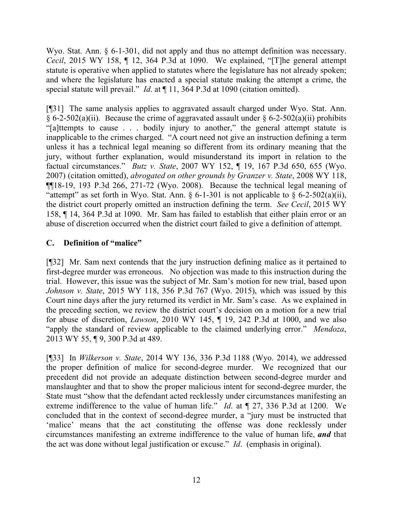Wyo. Stat. Ann. § 6-1-301, did not apply and thus no attempt definition was necessary. *Cecil*, 2015 WY 158, ¶ 12, 364 P.3d at 1090. We explained, "[T]he general attempt statute is operative when applied to statutes where the legislature has not already spoken; and where the legislature has enacted a special statute making the attempt a crime, the special statute will prevail." *Id*. at ¶ 11, 364 P.3d at 1090 (citation omitted).

[¶31] The same analysis applies to aggravated assault charged under Wyo. Stat. Ann. § 6-2-502(a)(ii). Because the crime of aggravated assault under § 6-2-502(a)(ii) prohibits "[a]ttempts to cause . . . bodily injury to another," the general attempt statute is inapplicable to the crimes charged. "A court need not give an instruction defining a term unless it has a technical legal meaning so different from its ordinary meaning that the jury, without further explanation, would misunderstand its import in relation to the factual circumstances." *Butz v. State*, 2007 WY 152, ¶ 19, 167 P.3d 650, 655 (Wyo. 2007) (citation omitted), *abrogated on other grounds by Granzer v. State*, 2008 WY 118, ¶¶18-19, 193 P.3d 266, 271-72 (Wyo. 2008). Because the technical legal meaning of "attempt" as set forth in Wyo. Stat. Ann.  $\S 6$ -1-301 is not applicable to  $\S 6$ -2-502(a)(ii), the district court properly omitted an instruction defining the term. *See Cecil*, 2015 WY 158, ¶ 14, 364 P.3d at 1090. Mr. Sam has failed to establish that either plain error or an abuse of discretion occurred when the district court failed to give a definition of attempt.

# **C. Definition of "malice"**

[¶32] Mr. Sam next contends that the jury instruction defining malice as it pertained to first-degree murder was erroneous. No objection was made to this instruction during the trial. However, this issue was the subject of Mr. Sam's motion for new trial, based upon *Johnson v. State*, 2015 WY 118, 356 P.3d 767 (Wyo. 2015), which was issued by this Court nine days after the jury returned its verdict in Mr. Sam's case. As we explained in the preceding section, we review the district court's decision on a motion for a new trial for abuse of discretion, *Lawson*, 2010 WY 145, ¶ 19, 242 P.3d at 1000, and we also "apply the standard of review applicable to the claimed underlying error." *Mendoza*, 2013 WY 55, ¶ 9, 300 P.3d at 489.

[¶33] In *Wilkerson v. State*, 2014 WY 136, 336 P.3d 1188 (Wyo. 2014), we addressed the proper definition of malice for second-degree murder. We recognized that our precedent did not provide an adequate distinction between second-degree murder and manslaughter and that to show the proper malicious intent for second-degree murder, the State must "show that the defendant acted recklessly under circumstances manifesting an extreme indifference to the value of human life." *Id*. at ¶ 27, 336 P.3d at 1200. We concluded that in the context of second-degree murder, a "jury must be instructed that 'malice' means that the act constituting the offense was done recklessly under circumstances manifesting an extreme indifference to the value of human life, *and* that the act was done without legal justification or excuse." *Id*. (emphasis in original).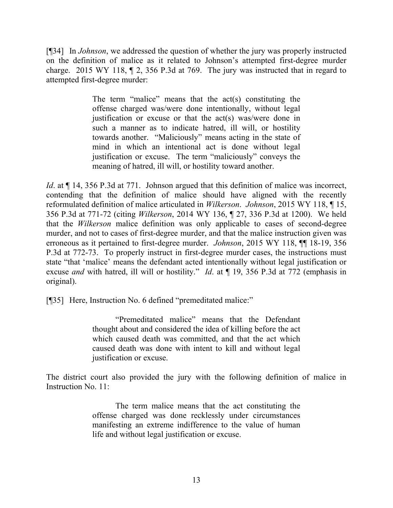[¶34] In *Johnson*, we addressed the question of whether the jury was properly instructed on the definition of malice as it related to Johnson's attempted first-degree murder charge. 2015 WY 118, ¶ 2, 356 P.3d at 769. The jury was instructed that in regard to attempted first-degree murder:

> The term "malice" means that the act(s) constituting the offense charged was/were done intentionally, without legal justification or excuse or that the act(s) was/were done in such a manner as to indicate hatred, ill will, or hostility towards another. "Maliciously" means acting in the state of mind in which an intentional act is done without legal justification or excuse. The term "maliciously" conveys the meaning of hatred, ill will, or hostility toward another.

*Id.* at  $\P$  14, 356 P.3d at 771. Johnson argued that this definition of malice was incorrect, contending that the definition of malice should have aligned with the recently reformulated definition of malice articulated in *Wilkerson*. *Johnson*, 2015 WY 118, ¶ 15, 356 P.3d at 771-72 (citing *Wilkerson*, 2014 WY 136, ¶ 27, 336 P.3d at 1200). We held that the *Wilkerson* malice definition was only applicable to cases of second-degree murder, and not to cases of first-degree murder, and that the malice instruction given was erroneous as it pertained to first-degree murder. *Johnson*, 2015 WY 118, ¶¶ 18-19, 356 P.3d at 772-73. To properly instruct in first-degree murder cases, the instructions must state "that 'malice' means the defendant acted intentionally without legal justification or excuse *and* with hatred, ill will or hostility." *Id*. at ¶ 19, 356 P.3d at 772 (emphasis in original).

[¶35] Here, Instruction No. 6 defined "premeditated malice:"

"Premeditated malice" means that the Defendant thought about and considered the idea of killing before the act which caused death was committed, and that the act which caused death was done with intent to kill and without legal justification or excuse.

The district court also provided the jury with the following definition of malice in Instruction No. 11:

> The term malice means that the act constituting the offense charged was done recklessly under circumstances manifesting an extreme indifference to the value of human life and without legal justification or excuse.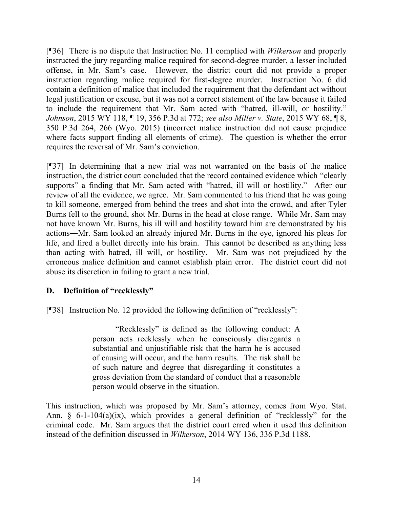[¶36] There is no dispute that Instruction No. 11 complied with *Wilkerson* and properly instructed the jury regarding malice required for second-degree murder, a lesser included offense, in Mr. Sam's case. However, the district court did not provide a proper instruction regarding malice required for first-degree murder. Instruction No. 6 did contain a definition of malice that included the requirement that the defendant act without legal justification or excuse, but it was not a correct statement of the law because it failed to include the requirement that Mr. Sam acted with "hatred, ill-will, or hostility." *Johnson*, 2015 WY 118, ¶ 19, 356 P.3d at 772; *see also Miller v. State*, 2015 WY 68, ¶ 8, 350 P.3d 264, 266 (Wyo. 2015) (incorrect malice instruction did not cause prejudice where facts support finding all elements of crime). The question is whether the error requires the reversal of Mr. Sam's conviction.

[¶37] In determining that a new trial was not warranted on the basis of the malice instruction, the district court concluded that the record contained evidence which "clearly supports" a finding that Mr. Sam acted with "hatred, ill will or hostility." After our review of all the evidence, we agree. Mr. Sam commented to his friend that he was going to kill someone, emerged from behind the trees and shot into the crowd, and after Tyler Burns fell to the ground, shot Mr. Burns in the head at close range. While Mr. Sam may not have known Mr. Burns, his ill will and hostility toward him are demonstrated by his actions―Mr. Sam looked an already injured Mr. Burns in the eye, ignored his pleas for life, and fired a bullet directly into his brain. This cannot be described as anything less than acting with hatred, ill will, or hostility. Mr. Sam was not prejudiced by the erroneous malice definition and cannot establish plain error. The district court did not abuse its discretion in failing to grant a new trial.

# **D. Definition of "recklessly"**

[¶38] Instruction No. 12 provided the following definition of "recklessly":

"Recklessly" is defined as the following conduct: A person acts recklessly when he consciously disregards a substantial and unjustifiable risk that the harm he is accused of causing will occur, and the harm results. The risk shall be of such nature and degree that disregarding it constitutes a gross deviation from the standard of conduct that a reasonable person would observe in the situation.

This instruction, which was proposed by Mr. Sam's attorney, comes from Wyo. Stat. Ann. § 6-1-104(a)(ix), which provides a general definition of "recklessly" for the criminal code. Mr. Sam argues that the district court erred when it used this definition instead of the definition discussed in *Wilkerson*, 2014 WY 136, 336 P.3d 1188.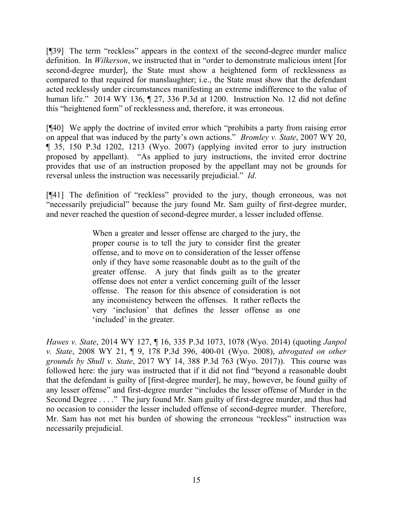[¶39] The term "reckless" appears in the context of the second-degree murder malice definition. In *Wilkerson*, we instructed that in "order to demonstrate malicious intent [for second-degree murder], the State must show a heightened form of recklessness as compared to that required for manslaughter; i.e., the State must show that the defendant acted recklessly under circumstances manifesting an extreme indifference to the value of human life." 2014 WY 136, ¶ 27, 336 P.3d at 1200. Instruction No. 12 did not define this "heightened form" of recklessness and, therefore, it was erroneous.

[¶40] We apply the doctrine of invited error which "prohibits a party from raising error on appeal that was induced by the party's own actions." *Bromley v. State*, 2007 WY 20, ¶ 35, 150 P.3d 1202, 1213 (Wyo. 2007) (applying invited error to jury instruction proposed by appellant). "As applied to jury instructions, the invited error doctrine provides that use of an instruction proposed by the appellant may not be grounds for reversal unless the instruction was necessarily prejudicial." *Id*.

[¶41] The definition of "reckless" provided to the jury, though erroneous, was not "necessarily prejudicial" because the jury found Mr. Sam guilty of first-degree murder, and never reached the question of second-degree murder, a lesser included offense.

> When a greater and lesser offense are charged to the jury, the proper course is to tell the jury to consider first the greater offense, and to move on to consideration of the lesser offense only if they have some reasonable doubt as to the guilt of the greater offense. A jury that finds guilt as to the greater offense does not enter a verdict concerning guilt of the lesser offense. The reason for this absence of consideration is not any inconsistency between the offenses. It rather reflects the very 'inclusion' that defines the lesser offense as one 'included' in the greater.

*Hawes v. State*, 2014 WY 127, ¶ 16, 335 P.3d 1073, 1078 (Wyo. 2014) (quoting *Janpol v. State*, 2008 WY 21, ¶ 9, 178 P.3d 396, 400-01 (Wyo. 2008), *abrogated on other grounds by Shull v. State*, 2017 WY 14, 388 P.3d 763 (Wyo. 2017)). This course was followed here: the jury was instructed that if it did not find "beyond a reasonable doubt that the defendant is guilty of [first-degree murder], he may, however, be found guilty of any lesser offense" and first-degree murder "includes the lesser offense of Murder in the Second Degree . . . ." The jury found Mr. Sam guilty of first-degree murder, and thus had no occasion to consider the lesser included offense of second-degree murder. Therefore, Mr. Sam has not met his burden of showing the erroneous "reckless" instruction was necessarily prejudicial.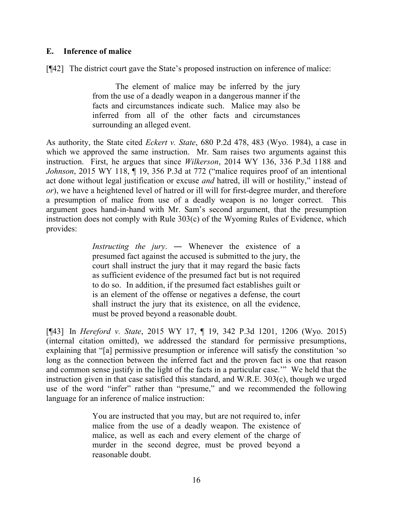### **E. Inference of malice**

[¶42] The district court gave the State's proposed instruction on inference of malice:

The element of malice may be inferred by the jury from the use of a deadly weapon in a dangerous manner if the facts and circumstances indicate such. Malice may also be inferred from all of the other facts and circumstances surrounding an alleged event.

As authority, the State cited *Eckert v. State*, 680 P.2d 478, 483 (Wyo. 1984), a case in which we approved the same instruction. Mr. Sam raises two arguments against this instruction. First, he argues that since *Wilkerson*, 2014 WY 136, 336 P.3d 1188 and *Johnson*, 2015 WY 118, ¶ 19, 356 P.3d at 772 ("malice requires proof of an intentional act done without legal justification or excuse *and* hatred, ill will or hostility," instead of *or*), we have a heightened level of hatred or ill will for first-degree murder, and therefore a presumption of malice from use of a deadly weapon is no longer correct. This argument goes hand-in-hand with Mr. Sam's second argument, that the presumption instruction does not comply with Rule 303(c) of the Wyoming Rules of Evidence, which provides:

> *Instructing the jury*. ― Whenever the existence of a presumed fact against the accused is submitted to the jury, the court shall instruct the jury that it may regard the basic facts as sufficient evidence of the presumed fact but is not required to do so. In addition, if the presumed fact establishes guilt or is an element of the offense or negatives a defense, the court shall instruct the jury that its existence, on all the evidence, must be proved beyond a reasonable doubt.

[¶43] In *Hereford v. State*, 2015 WY 17, ¶ 19, 342 P.3d 1201, 1206 (Wyo. 2015) (internal citation omitted), we addressed the standard for permissive presumptions, explaining that "[a] permissive presumption or inference will satisfy the constitution 'so long as the connection between the inferred fact and the proven fact is one that reason and common sense justify in the light of the facts in a particular case.'" We held that the instruction given in that case satisfied this standard, and W.R.E. 303(c), though we urged use of the word "infer" rather than "presume," and we recommended the following language for an inference of malice instruction:

> You are instructed that you may, but are not required to, infer malice from the use of a deadly weapon. The existence of malice, as well as each and every element of the charge of murder in the second degree, must be proved beyond a reasonable doubt.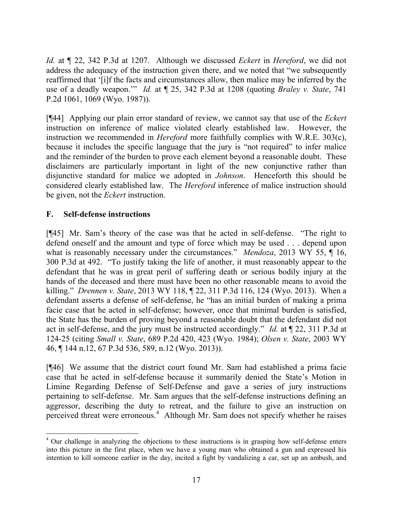*Id.* at ¶ 22, 342 P.3d at 1207. Although we discussed *Eckert* in *Hereford*, we did not address the adequacy of the instruction given there, and we noted that "we subsequently reaffirmed that '[i]f the facts and circumstances allow, then malice may be inferred by the use of a deadly weapon.'" *Id.* at ¶ 25, 342 P.3d at 1208 (quoting *Braley v. State*, 741 P.2d 1061, 1069 (Wyo. 1987)).

[¶44] Applying our plain error standard of review, we cannot say that use of the *Eckert* instruction on inference of malice violated clearly established law. However, the instruction we recommended in *Hereford* more faithfully complies with W.R.E. 303(c), because it includes the specific language that the jury is "not required" to infer malice and the reminder of the burden to prove each element beyond a reasonable doubt. These disclaimers are particularly important in light of the new conjunctive rather than disjunctive standard for malice we adopted in *Johnson*. Henceforth this should be considered clearly established law. The *Hereford* inference of malice instruction should be given, not the *Eckert* instruction.

## **F. Self-defense instructions**

[¶45] Mr. Sam's theory of the case was that he acted in self-defense. "The right to defend oneself and the amount and type of force which may be used . . . depend upon what is reasonably necessary under the circumstances." *Mendoza*, 2013 WY 55,  $\P$  16, 300 P.3d at 492. "To justify taking the life of another, it must reasonably appear to the defendant that he was in great peril of suffering death or serious bodily injury at the hands of the deceased and there must have been no other reasonable means to avoid the killing." *Drennen v. State*, 2013 WY 118, ¶ 22, 311 P.3d 116, 124 (Wyo. 2013). When a defendant asserts a defense of self-defense, he "has an initial burden of making a prima facie case that he acted in self-defense; however, once that minimal burden is satisfied, the State has the burden of proving beyond a reasonable doubt that the defendant did not act in self-defense, and the jury must be instructed accordingly." *Id.* at ¶ 22, 311 P.3d at 124-25 (citing *Small v. State*, 689 P.2d 420, 423 (Wyo. 1984); *Olsen v. State*, 2003 WY 46, ¶ 144 n.12, 67 P.3d 536, 589, n.12 (Wyo. 2013)).

[¶46] We assume that the district court found Mr. Sam had established a prima facie case that he acted in self-defense because it summarily denied the State's Motion in Limine Regarding Defense of Self-Defense and gave a series of jury instructions pertaining to self-defense. Mr. Sam argues that the self-defense instructions defining an aggressor, describing the duty to retreat, and the failure to give an instruction on perceived threat were erroneous.<sup>4</sup> Although Mr. Sam does not specify whether he raises

 <sup>4</sup> Our challenge in analyzing the objections to these instructions is in grasping how self-defense enters into this picture in the first place, when we have a young man who obtained a gun and expressed his intention to kill someone earlier in the day, incited a fight by vandalizing a car, set up an ambush, and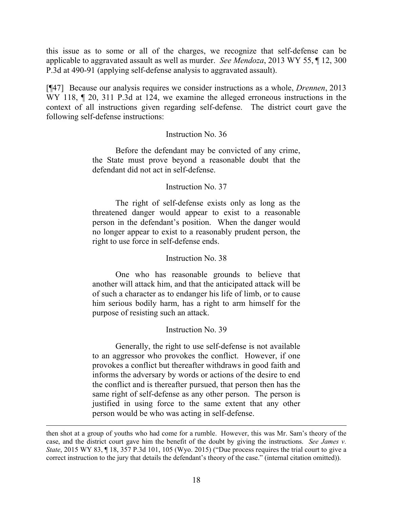this issue as to some or all of the charges, we recognize that self-defense can be applicable to aggravated assault as well as murder. *See Mendoza*, 2013 WY 55, ¶ 12, 300 P.3d at 490-91 (applying self-defense analysis to aggravated assault).

[¶47] Because our analysis requires we consider instructions as a whole, *Drennen*, 2013 WY 118,  $\P$  20, 311 P.3d at 124, we examine the alleged erroneous instructions in the context of all instructions given regarding self-defense. The district court gave the following self-defense instructions:

#### Instruction No. 36

Before the defendant may be convicted of any crime, the State must prove beyond a reasonable doubt that the defendant did not act in self-defense.

### Instruction No. 37

The right of self-defense exists only as long as the threatened danger would appear to exist to a reasonable person in the defendant's position. When the danger would no longer appear to exist to a reasonably prudent person, the right to use force in self-defense ends.

#### Instruction No. 38

One who has reasonable grounds to believe that another will attack him, and that the anticipated attack will be of such a character as to endanger his life of limb, or to cause him serious bodily harm, has a right to arm himself for the purpose of resisting such an attack.

#### Instruction No. 39

Generally, the right to use self-defense is not available to an aggressor who provokes the conflict. However, if one provokes a conflict but thereafter withdraws in good faith and informs the adversary by words or actions of the desire to end the conflict and is thereafter pursued, that person then has the same right of self-defense as any other person. The person is justified in using force to the same extent that any other person would be who was acting in self-defense.

then shot at a group of youths who had come for a rumble. However, this was Mr. Sam's theory of the case, and the district court gave him the benefit of the doubt by giving the instructions. *See James v. State*, 2015 WY 83, ¶ 18, 357 P.3d 101, 105 (Wyo. 2015) ("Due process requires the trial court to give a correct instruction to the jury that details the defendant's theory of the case." (internal citation omitted)).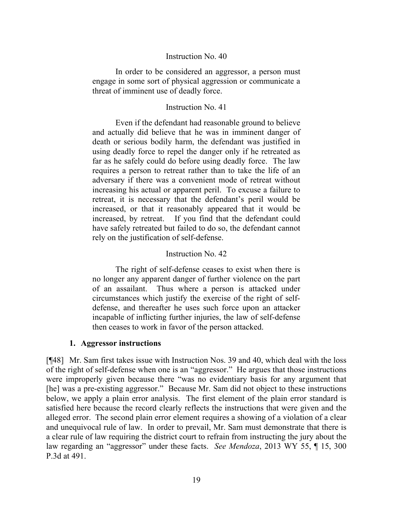#### Instruction No. 40

In order to be considered an aggressor, a person must engage in some sort of physical aggression or communicate a threat of imminent use of deadly force.

#### Instruction No. 41

Even if the defendant had reasonable ground to believe and actually did believe that he was in imminent danger of death or serious bodily harm, the defendant was justified in using deadly force to repel the danger only if he retreated as far as he safely could do before using deadly force. The law requires a person to retreat rather than to take the life of an adversary if there was a convenient mode of retreat without increasing his actual or apparent peril. To excuse a failure to retreat, it is necessary that the defendant's peril would be increased, or that it reasonably appeared that it would be increased, by retreat. If you find that the defendant could have safely retreated but failed to do so, the defendant cannot rely on the justification of self-defense.

#### Instruction No. 42

The right of self-defense ceases to exist when there is no longer any apparent danger of further violence on the part of an assailant. Thus where a person is attacked under circumstances which justify the exercise of the right of selfdefense, and thereafter he uses such force upon an attacker incapable of inflicting further injuries, the law of self-defense then ceases to work in favor of the person attacked.

#### **1. Aggressor instructions**

[¶48] Mr. Sam first takes issue with Instruction Nos. 39 and 40, which deal with the loss of the right of self-defense when one is an "aggressor." He argues that those instructions were improperly given because there "was no evidentiary basis for any argument that [he] was a pre-existing aggressor." Because Mr. Sam did not object to these instructions below, we apply a plain error analysis. The first element of the plain error standard is satisfied here because the record clearly reflects the instructions that were given and the alleged error. The second plain error element requires a showing of a violation of a clear and unequivocal rule of law. In order to prevail, Mr. Sam must demonstrate that there is a clear rule of law requiring the district court to refrain from instructing the jury about the law regarding an "aggressor" under these facts. *See Mendoza*, 2013 WY 55, ¶ 15, 300 P.3d at 491.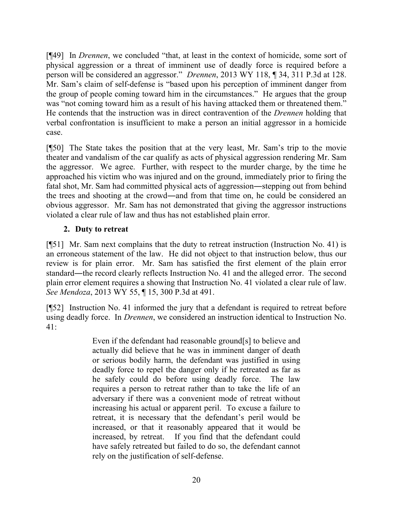[¶49] In *Drennen*, we concluded "that, at least in the context of homicide, some sort of physical aggression or a threat of imminent use of deadly force is required before a person will be considered an aggressor." *Drennen*, 2013 WY 118, ¶ 34, 311 P.3d at 128. Mr. Sam's claim of self-defense is "based upon his perception of imminent danger from the group of people coming toward him in the circumstances." He argues that the group was "not coming toward him as a result of his having attacked them or threatened them." He contends that the instruction was in direct contravention of the *Drennen* holding that verbal confrontation is insufficient to make a person an initial aggressor in a homicide case.

[¶50] The State takes the position that at the very least, Mr. Sam's trip to the movie theater and vandalism of the car qualify as acts of physical aggression rendering Mr. Sam the aggressor. We agree. Further, with respect to the murder charge, by the time he approached his victim who was injured and on the ground, immediately prior to firing the fatal shot, Mr. Sam had committed physical acts of aggression―stepping out from behind the trees and shooting at the crowd―and from that time on, he could be considered an obvious aggressor. Mr. Sam has not demonstrated that giving the aggressor instructions violated a clear rule of law and thus has not established plain error.

## **2. Duty to retreat**

[¶51] Mr. Sam next complains that the duty to retreat instruction (Instruction No. 41) is an erroneous statement of the law. He did not object to that instruction below, thus our review is for plain error. Mr. Sam has satisfied the first element of the plain error standard―the record clearly reflects Instruction No. 41 and the alleged error. The second plain error element requires a showing that Instruction No. 41 violated a clear rule of law. *See Mendoza*, 2013 WY 55, ¶ 15, 300 P.3d at 491.

[¶52] Instruction No. 41 informed the jury that a defendant is required to retreat before using deadly force. In *Drennen*, we considered an instruction identical to Instruction No.  $41:$ 

> Even if the defendant had reasonable ground[s] to believe and actually did believe that he was in imminent danger of death or serious bodily harm, the defendant was justified in using deadly force to repel the danger only if he retreated as far as he safely could do before using deadly force. The law requires a person to retreat rather than to take the life of an adversary if there was a convenient mode of retreat without increasing his actual or apparent peril. To excuse a failure to retreat, it is necessary that the defendant's peril would be increased, or that it reasonably appeared that it would be increased, by retreat. If you find that the defendant could have safely retreated but failed to do so, the defendant cannot rely on the justification of self-defense.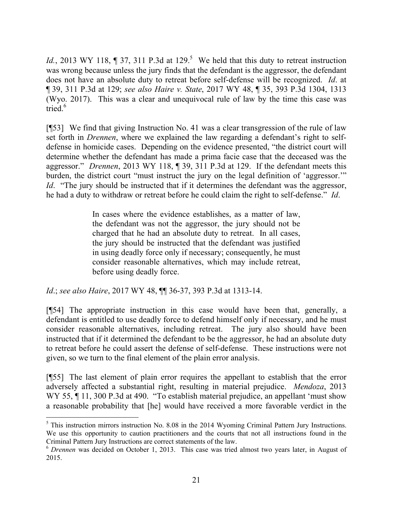*Id.*, 2013 WY 118,  $\P$  37, 311 P.3d at 129.<sup>5</sup> We held that this duty to retreat instruction was wrong because unless the jury finds that the defendant is the aggressor, the defendant does not have an absolute duty to retreat before self-defense will be recognized. *Id*. at ¶ 39, 311 P.3d at 129; *see also Haire v. State*, 2017 WY 48, ¶ 35, 393 P.3d 1304, 1313 (Wyo. 2017). This was a clear and unequivocal rule of law by the time this case was tried. $6$ 

[¶53] We find that giving Instruction No. 41 was a clear transgression of the rule of law set forth in *Drennen*, where we explained the law regarding a defendant's right to selfdefense in homicide cases. Depending on the evidence presented, "the district court will determine whether the defendant has made a prima facie case that the deceased was the aggressor." *Drennen*, 2013 WY 118, ¶ 39, 311 P.3d at 129. If the defendant meets this burden, the district court "must instruct the jury on the legal definition of 'aggressor.'" *Id.* "The jury should be instructed that if it determines the defendant was the aggressor, he had a duty to withdraw or retreat before he could claim the right to self-defense." *Id*.

> In cases where the evidence establishes, as a matter of law, the defendant was not the aggressor, the jury should not be charged that he had an absolute duty to retreat. In all cases, the jury should be instructed that the defendant was justified in using deadly force only if necessary; consequently, he must consider reasonable alternatives, which may include retreat, before using deadly force.

*Id*.; *see also Haire*, 2017 WY 48, ¶¶ 36-37, 393 P.3d at 1313-14.

[¶54] The appropriate instruction in this case would have been that, generally, a defendant is entitled to use deadly force to defend himself only if necessary, and he must consider reasonable alternatives, including retreat. The jury also should have been instructed that if it determined the defendant to be the aggressor, he had an absolute duty to retreat before he could assert the defense of self-defense. These instructions were not given, so we turn to the final element of the plain error analysis.

[¶55] The last element of plain error requires the appellant to establish that the error adversely affected a substantial right, resulting in material prejudice. *Mendoza*, 2013 WY 55,  $\P$  11, 300 P.3d at 490. "To establish material prejudice, an appellant 'must show a reasonable probability that [he] would have received a more favorable verdict in the

<sup>5</sup> This instruction mirrors instruction No. 8.08 in the 2014 Wyoming Criminal Pattern Jury Instructions. We use this opportunity to caution practitioners and the courts that not all instructions found in the Criminal Pattern Jury Instructions are correct statements of the law.

<sup>6</sup> *Drennen* was decided on October 1, 2013. This case was tried almost two years later, in August of 2015.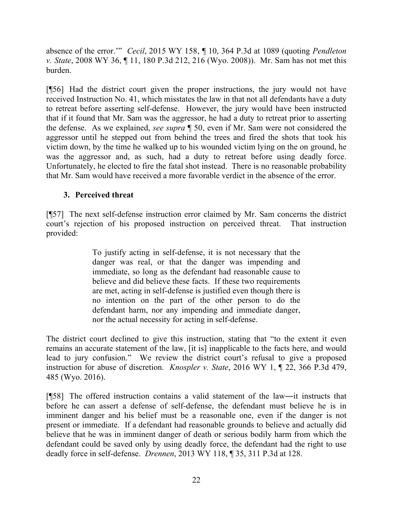absence of the error.'" *Cecil*, 2015 WY 158, ¶ 10, 364 P.3d at 1089 (quoting *Pendleton v. State*, 2008 WY 36, ¶ 11, 180 P.3d 212, 216 (Wyo. 2008)). Mr. Sam has not met this burden.

[¶56] Had the district court given the proper instructions, the jury would not have received Instruction No. 41, which misstates the law in that not all defendants have a duty to retreat before asserting self-defense. However, the jury would have been instructed that if it found that Mr. Sam was the aggressor, he had a duty to retreat prior to asserting the defense. As we explained, *see supra* ¶ 50, even if Mr. Sam were not considered the aggressor until he stepped out from behind the trees and fired the shots that took his victim down, by the time he walked up to his wounded victim lying on the on ground, he was the aggressor and, as such, had a duty to retreat before using deadly force. Unfortunately, he elected to fire the fatal shot instead. There is no reasonable probability that Mr. Sam would have received a more favorable verdict in the absence of the error.

## **3. Perceived threat**

[¶57] The next self-defense instruction error claimed by Mr. Sam concerns the district court's rejection of his proposed instruction on perceived threat. That instruction provided:

> To justify acting in self-defense, it is not necessary that the danger was real, or that the danger was impending and immediate, so long as the defendant had reasonable cause to believe and did believe these facts. If these two requirements are met, acting in self-defense is justified even though there is no intention on the part of the other person to do the defendant harm, nor any impending and immediate danger, nor the actual necessity for acting in self-defense.

The district court declined to give this instruction, stating that "to the extent it even remains an accurate statement of the law, [it is] inapplicable to the facts here, and would lead to jury confusion." We review the district court's refusal to give a proposed instruction for abuse of discretion. *Knospler v. State*, 2016 WY 1, ¶ 22, 366 P.3d 479, 485 (Wyo. 2016).

[¶58] The offered instruction contains a valid statement of the law―it instructs that before he can assert a defense of self-defense, the defendant must believe he is in imminent danger and his belief must be a reasonable one, even if the danger is not present or immediate. If a defendant had reasonable grounds to believe and actually did believe that he was in imminent danger of death or serious bodily harm from which the defendant could be saved only by using deadly force, the defendant had the right to use deadly force in self-defense. *Drennen*, 2013 WY 118, ¶ 35, 311 P.3d at 128.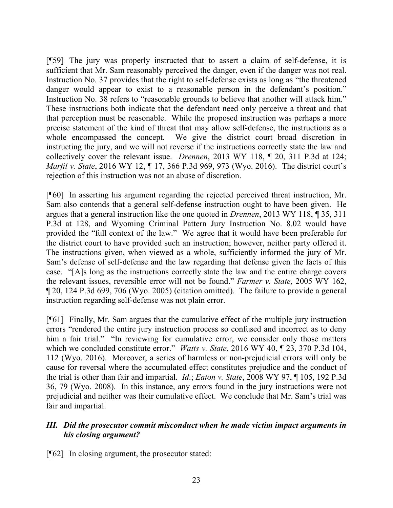[¶59] The jury was properly instructed that to assert a claim of self-defense, it is sufficient that Mr. Sam reasonably perceived the danger, even if the danger was not real. Instruction No. 37 provides that the right to self-defense exists as long as "the threatened danger would appear to exist to a reasonable person in the defendant's position." Instruction No. 38 refers to "reasonable grounds to believe that another will attack him." These instructions both indicate that the defendant need only perceive a threat and that that perception must be reasonable. While the proposed instruction was perhaps a more precise statement of the kind of threat that may allow self-defense, the instructions as a whole encompassed the concept. We give the district court broad discretion in instructing the jury, and we will not reverse if the instructions correctly state the law and collectively cover the relevant issue. *Drennen*, 2013 WY 118, ¶ 20, 311 P.3d at 124; *Marfil v. State*, 2016 WY 12, ¶ 17, 366 P.3d 969, 973 (Wyo. 2016). The district court's rejection of this instruction was not an abuse of discretion.

[¶60] In asserting his argument regarding the rejected perceived threat instruction, Mr. Sam also contends that a general self-defense instruction ought to have been given. He argues that a general instruction like the one quoted in *Drennen*, 2013 WY 118, ¶ 35, 311 P.3d at 128, and Wyoming Criminal Pattern Jury Instruction No. 8.02 would have provided the "full context of the law." We agree that it would have been preferable for the district court to have provided such an instruction; however, neither party offered it. The instructions given, when viewed as a whole, sufficiently informed the jury of Mr. Sam's defense of self-defense and the law regarding that defense given the facts of this case. "[A]s long as the instructions correctly state the law and the entire charge covers the relevant issues, reversible error will not be found." *Farmer v. State*, 2005 WY 162, ¶ 20, 124 P.3d 699, 706 (Wyo. 2005) (citation omitted). The failure to provide a general instruction regarding self-defense was not plain error.

[¶61] Finally, Mr. Sam argues that the cumulative effect of the multiple jury instruction errors "rendered the entire jury instruction process so confused and incorrect as to deny him a fair trial." "In reviewing for cumulative error, we consider only those matters which we concluded constitute error." *Watts v. State*, 2016 WY 40, ¶ 23, 370 P.3d 104, 112 (Wyo. 2016). Moreover, a series of harmless or non-prejudicial errors will only be cause for reversal where the accumulated effect constitutes prejudice and the conduct of the trial is other than fair and impartial. *Id*.; *Eaton v. State*, 2008 WY 97, ¶ 105, 192 P.3d 36, 79 (Wyo. 2008). In this instance, any errors found in the jury instructions were not prejudicial and neither was their cumulative effect. We conclude that Mr. Sam's trial was fair and impartial.

### *III. Did the prosecutor commit misconduct when he made victim impact arguments in his closing argument?*

[¶62] In closing argument, the prosecutor stated: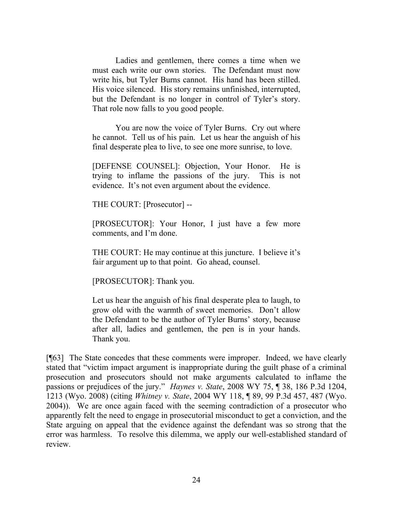Ladies and gentlemen, there comes a time when we must each write our own stories. The Defendant must now write his, but Tyler Burns cannot. His hand has been stilled. His voice silenced. His story remains unfinished, interrupted, but the Defendant is no longer in control of Tyler's story. That role now falls to you good people.

You are now the voice of Tyler Burns. Cry out where he cannot. Tell us of his pain. Let us hear the anguish of his final desperate plea to live, to see one more sunrise, to love.

[DEFENSE COUNSEL]: Objection, Your Honor. He is trying to inflame the passions of the jury. This is not evidence. It's not even argument about the evidence.

THE COURT: [Prosecutor] --

[PROSECUTOR]: Your Honor, I just have a few more comments, and I'm done.

THE COURT: He may continue at this juncture. I believe it's fair argument up to that point. Go ahead, counsel.

[PROSECUTOR]: Thank you.

Let us hear the anguish of his final desperate plea to laugh, to grow old with the warmth of sweet memories. Don't allow the Defendant to be the author of Tyler Burns' story, because after all, ladies and gentlemen, the pen is in your hands. Thank you.

[¶63] The State concedes that these comments were improper. Indeed, we have clearly stated that "victim impact argument is inappropriate during the guilt phase of a criminal prosecution and prosecutors should not make arguments calculated to inflame the passions or prejudices of the jury." *Haynes v. State*, 2008 WY 75, ¶ 38, 186 P.3d 1204, 1213 (Wyo. 2008) (citing *Whitney v. State*, 2004 WY 118, ¶ 89, 99 P.3d 457, 487 (Wyo. 2004)). We are once again faced with the seeming contradiction of a prosecutor who apparently felt the need to engage in prosecutorial misconduct to get a conviction, and the State arguing on appeal that the evidence against the defendant was so strong that the error was harmless. To resolve this dilemma, we apply our well-established standard of review.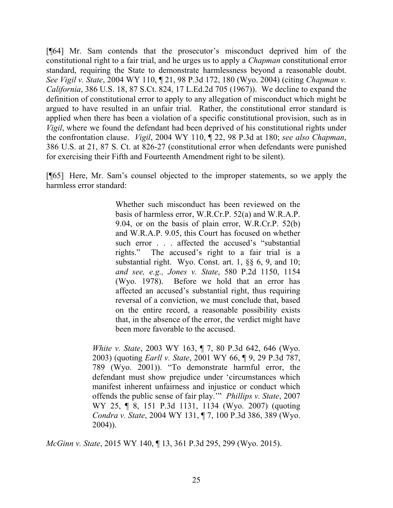[¶64] Mr. Sam contends that the prosecutor's misconduct deprived him of the constitutional right to a fair trial, and he urges us to apply a *Chapman* constitutional error standard, requiring the State to demonstrate harmlessness beyond a reasonable doubt. *See Vigil v. State*, 2004 WY 110, ¶ 21, 98 P.3d 172, 180 (Wyo. 2004) (citing *Chapman v. California*, 386 U.S. 18, 87 S.Ct. 824, 17 L.Ed.2d 705 (1967)). We decline to expand the definition of constitutional error to apply to any allegation of misconduct which might be argued to have resulted in an unfair trial. Rather, the constitutional error standard is applied when there has been a violation of a specific constitutional provision, such as in *Vigil*, where we found the defendant had been deprived of his constitutional rights under the confrontation clause. *Vigil*, 2004 WY 110, ¶ 22, 98 P.3d at 180; *see also Chapman*, 386 U.S. at 21, 87 S. Ct. at 826-27 (constitutional error when defendants were punished for exercising their Fifth and Fourteenth Amendment right to be silent).

[¶65] Here, Mr. Sam's counsel objected to the improper statements, so we apply the harmless error standard:

> Whether such misconduct has been reviewed on the basis of harmless error, W.R.Cr.P. 52(a) and W.R.A.P. 9.04, or on the basis of plain error, W.R.Cr.P. 52(b) and W.R.A.P. 9.05, this Court has focused on whether such error . . . affected the accused's "substantial rights." The accused's right to a fair trial is a substantial right. Wyo. Const. art. 1, §§ 6, 9, and 10; *and see, e.g., Jones v. State*, 580 P.2d 1150, 1154 (Wyo. 1978). Before we hold that an error has affected an accused's substantial right, thus requiring reversal of a conviction, we must conclude that, based on the entire record, a reasonable possibility exists that, in the absence of the error, the verdict might have been more favorable to the accused.

*White v. State*, 2003 WY 163, ¶ 7, 80 P.3d 642, 646 (Wyo. 2003) (quoting *Earll v. State*, 2001 WY 66, ¶ 9, 29 P.3d 787, 789 (Wyo. 2001)). "To demonstrate harmful error, the defendant must show prejudice under 'circumstances which manifest inherent unfairness and injustice or conduct which offends the public sense of fair play.'" *Phillips v. State*, 2007 WY 25, ¶ 8, 151 P.3d 1131, 1134 (Wyo. 2007) (quoting *Condra v. State*, 2004 WY 131, ¶ 7, 100 P.3d 386, 389 (Wyo. 2004)).

*McGinn v. State*, 2015 WY 140, ¶ 13, 361 P.3d 295, 299 (Wyo. 2015).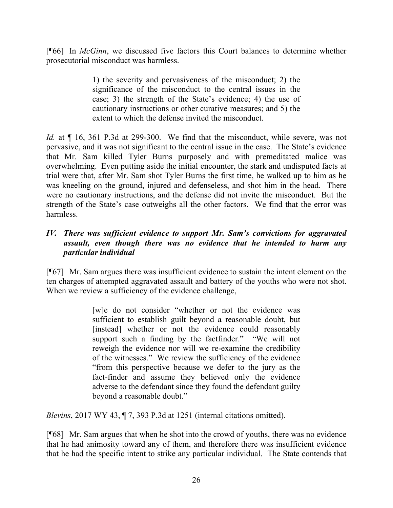[¶66] In *McGinn*, we discussed five factors this Court balances to determine whether prosecutorial misconduct was harmless.

> 1) the severity and pervasiveness of the misconduct; 2) the significance of the misconduct to the central issues in the case; 3) the strength of the State's evidence; 4) the use of cautionary instructions or other curative measures; and 5) the extent to which the defense invited the misconduct.

*Id.* at  $\P$  16, 361 P.3d at 299-300. We find that the misconduct, while severe, was not pervasive, and it was not significant to the central issue in the case. The State's evidence that Mr. Sam killed Tyler Burns purposely and with premeditated malice was overwhelming. Even putting aside the initial encounter, the stark and undisputed facts at trial were that, after Mr. Sam shot Tyler Burns the first time, he walked up to him as he was kneeling on the ground, injured and defenseless, and shot him in the head. There were no cautionary instructions, and the defense did not invite the misconduct. But the strength of the State's case outweighs all the other factors. We find that the error was harmless.

# *IV. There was sufficient evidence to support Mr. Sam's convictions for aggravated assault, even though there was no evidence that he intended to harm any particular individual*

[¶67] Mr. Sam argues there was insufficient evidence to sustain the intent element on the ten charges of attempted aggravated assault and battery of the youths who were not shot. When we review a sufficiency of the evidence challenge,

> [w]e do not consider "whether or not the evidence was sufficient to establish guilt beyond a reasonable doubt, but [instead] whether or not the evidence could reasonably support such a finding by the factfinder." "We will not reweigh the evidence nor will we re-examine the credibility of the witnesses." We review the sufficiency of the evidence "from this perspective because we defer to the jury as the fact-finder and assume they believed only the evidence adverse to the defendant since they found the defendant guilty beyond a reasonable doubt."

*Blevins*, 2017 WY 43, ¶ 7, 393 P.3d at 1251 (internal citations omitted).

[¶68] Mr. Sam argues that when he shot into the crowd of youths, there was no evidence that he had animosity toward any of them, and therefore there was insufficient evidence that he had the specific intent to strike any particular individual. The State contends that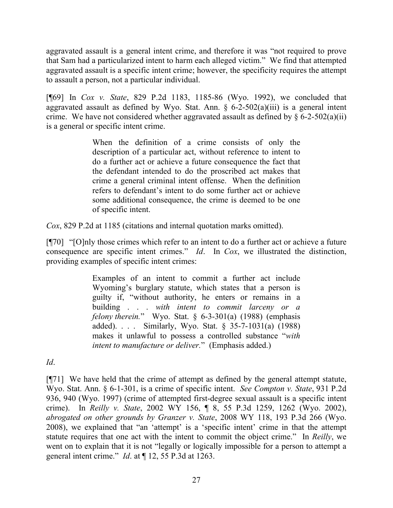aggravated assault is a general intent crime, and therefore it was "not required to prove that Sam had a particularized intent to harm each alleged victim." We find that attempted aggravated assault is a specific intent crime; however, the specificity requires the attempt to assault a person, not a particular individual.

[¶69] In *Cox v. State*, 829 P.2d 1183, 1185-86 (Wyo. 1992), we concluded that aggravated assault as defined by Wyo. Stat. Ann.  $\S$  6-2-502(a)(iii) is a general intent crime. We have not considered whether aggravated assault as defined by  $\S 6$ -2-502(a)(ii) is a general or specific intent crime.

> When the definition of a crime consists of only the description of a particular act, without reference to intent to do a further act or achieve a future consequence the fact that the defendant intended to do the proscribed act makes that crime a general criminal intent offense. When the definition refers to defendant's intent to do some further act or achieve some additional consequence, the crime is deemed to be one of specific intent.

*Cox*, 829 P.2d at 1185 (citations and internal quotation marks omitted).

[¶70] "[O]nly those crimes which refer to an intent to do a further act or achieve a future consequence are specific intent crimes." *Id*. In *Cox*, we illustrated the distinction, providing examples of specific intent crimes:

> Examples of an intent to commit a further act include Wyoming's burglary statute, which states that a person is guilty if, "without authority, he enters or remains in a building . . . *with intent to commit larceny or a felony therein.*" Wyo. Stat. § 6-3-301(a) (1988) (emphasis added). . . . Similarly, Wyo. Stat. § 35-7-1031(a) (1988) makes it unlawful to possess a controlled substance "*with intent to manufacture or deliver.*" (Emphasis added.)

*Id*.

[¶71] We have held that the crime of attempt as defined by the general attempt statute, Wyo. Stat. Ann. § 6-1-301, is a crime of specific intent. *See Compton v. State*, 931 P.2d 936, 940 (Wyo. 1997) (crime of attempted first-degree sexual assault is a specific intent crime). In *Reilly v. State*, 2002 WY 156, ¶ 8, 55 P.3d 1259, 1262 (Wyo. 2002), *abrogated on other grounds by Granzer v. State*, 2008 WY 118, 193 P.3d 266 (Wyo. 2008), we explained that "an 'attempt' is a 'specific intent' crime in that the attempt statute requires that one act with the intent to commit the object crime." In *Reilly*, we went on to explain that it is not "legally or logically impossible for a person to attempt a general intent crime." *Id*. at ¶ 12, 55 P.3d at 1263.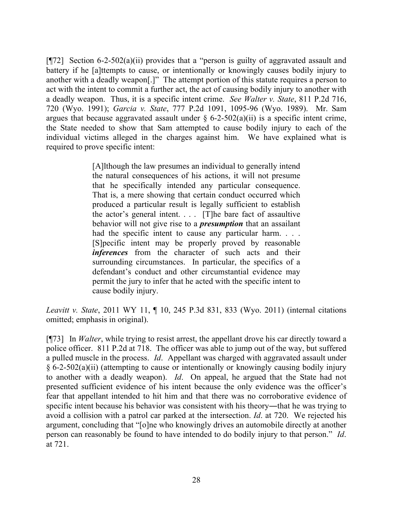[¶72] Section 6-2-502(a)(ii) provides that a "person is guilty of aggravated assault and battery if he [a]ttempts to cause, or intentionally or knowingly causes bodily injury to another with a deadly weapon[.]" The attempt portion of this statute requires a person to act with the intent to commit a further act, the act of causing bodily injury to another with a deadly weapon. Thus, it is a specific intent crime. *See Walter v. State*, 811 P.2d 716, 720 (Wyo. 1991); *Garcia v. State*, 777 P.2d 1091, 1095-96 (Wyo. 1989). Mr. Sam argues that because aggravated assault under  $\S$  6-2-502(a)(ii) is a specific intent crime, the State needed to show that Sam attempted to cause bodily injury to each of the individual victims alleged in the charges against him. We have explained what is required to prove specific intent:

> [A]lthough the law presumes an individual to generally intend the natural consequences of his actions, it will not presume that he specifically intended any particular consequence. That is, a mere showing that certain conduct occurred which produced a particular result is legally sufficient to establish the actor's general intent. . . . [T]he bare fact of assaultive behavior will not give rise to a *presumption* that an assailant had the specific intent to cause any particular harm.... [S]pecific intent may be properly proved by reasonable *inferences* from the character of such acts and their surrounding circumstances. In particular, the specifics of a defendant's conduct and other circumstantial evidence may permit the jury to infer that he acted with the specific intent to cause bodily injury.

*Leavitt v. State*, 2011 WY 11, ¶ 10, 245 P.3d 831, 833 (Wyo. 2011) (internal citations omitted; emphasis in original).

[¶73] In *Walter*, while trying to resist arrest, the appellant drove his car directly toward a police officer. 811 P.2d at 718. The officer was able to jump out of the way, but suffered a pulled muscle in the process. *Id*. Appellant was charged with aggravated assault under § 6-2-502(a)(ii) (attempting to cause or intentionally or knowingly causing bodily injury to another with a deadly weapon). *Id*. On appeal, he argued that the State had not presented sufficient evidence of his intent because the only evidence was the officer's fear that appellant intended to hit him and that there was no corroborative evidence of specific intent because his behavior was consistent with his theory―that he was trying to avoid a collision with a patrol car parked at the intersection. *Id*. at 720. We rejected his argument, concluding that "[o]ne who knowingly drives an automobile directly at another person can reasonably be found to have intended to do bodily injury to that person." *Id*. at 721.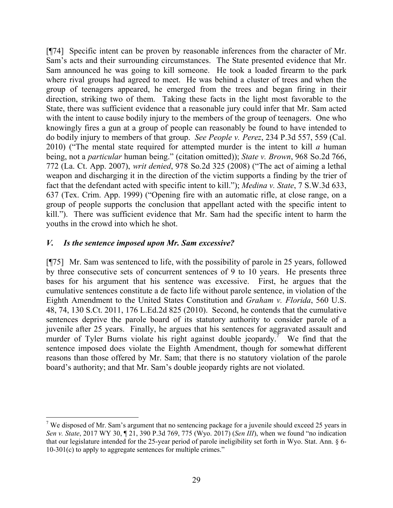[¶74] Specific intent can be proven by reasonable inferences from the character of Mr. Sam's acts and their surrounding circumstances. The State presented evidence that Mr. Sam announced he was going to kill someone. He took a loaded firearm to the park where rival groups had agreed to meet. He was behind a cluster of trees and when the group of teenagers appeared, he emerged from the trees and began firing in their direction, striking two of them. Taking these facts in the light most favorable to the State, there was sufficient evidence that a reasonable jury could infer that Mr. Sam acted with the intent to cause bodily injury to the members of the group of teenagers. One who knowingly fires a gun at a group of people can reasonably be found to have intended to do bodily injury to members of that group. *See People v. Perez*, 234 P.3d 557, 559 (Cal. 2010) ("The mental state required for attempted murder is the intent to kill *a* human being, not a *particular* human being." (citation omitted)); *State v. Brown*, 968 So.2d 766, 772 (La. Ct. App. 2007), *writ denied*, 978 So.2d 325 (2008) ("The act of aiming a lethal weapon and discharging it in the direction of the victim supports a finding by the trier of fact that the defendant acted with specific intent to kill."); *Medina v. State*, 7 S.W.3d 633, 637 (Tex. Crim. App. 1999) ("Opening fire with an automatic rifle, at close range, on a group of people supports the conclusion that appellant acted with the specific intent to kill."). There was sufficient evidence that Mr. Sam had the specific intent to harm the youths in the crowd into which he shot.

### *V. Is the sentence imposed upon Mr. Sam excessive?*

[¶75] Mr. Sam was sentenced to life, with the possibility of parole in 25 years, followed by three consecutive sets of concurrent sentences of 9 to 10 years. He presents three bases for his argument that his sentence was excessive. First, he argues that the cumulative sentences constitute a de facto life without parole sentence, in violation of the Eighth Amendment to the United States Constitution and *Graham v. Florida*, 560 U.S. 48, 74, 130 S.Ct. 2011, 176 L.Ed.2d 825 (2010). Second, he contends that the cumulative sentences deprive the parole board of its statutory authority to consider parole of a juvenile after 25 years. Finally, he argues that his sentences for aggravated assault and murder of Tyler Burns violate his right against double jeopardy.<sup>7</sup> We find that the sentence imposed does violate the Eighth Amendment, though for somewhat different reasons than those offered by Mr. Sam; that there is no statutory violation of the parole board's authority; and that Mr. Sam's double jeopardy rights are not violated.

 <sup>7</sup> We disposed of Mr. Sam's argument that no sentencing package for a juvenile should exceed 25 years in *Sen v. State*, 2017 WY 30, ¶ 21, 390 P.3d 769, 775 (Wyo. 2017) (*Sen III*), when we found "no indication that our legislature intended for the 25-year period of parole ineligibility set forth in Wyo. Stat. Ann. § 6- 10-301(c) to apply to aggregate sentences for multiple crimes."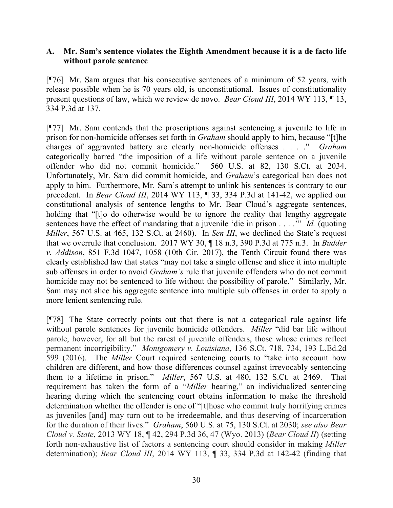### **A. Mr. Sam's sentence violates the Eighth Amendment because it is a de facto life without parole sentence**

[¶76] Mr. Sam argues that his consecutive sentences of a minimum of 52 years, with release possible when he is 70 years old, is unconstitutional. Issues of constitutionality present questions of law, which we review de novo. *Bear Cloud III*, 2014 WY 113, ¶ 13, 334 P.3d at 137.

[¶77] Mr. Sam contends that the proscriptions against sentencing a juvenile to life in prison for non-homicide offenses set forth in *Graham* should apply to him, because "[t]he charges of aggravated battery are clearly non-homicide offenses . . . ." *Graham* categorically barred "the imposition of a life without parole sentence on a juvenile offender who did not commit homicide." 560 U.S. at 82, 130 S.Ct. at 2034. Unfortunately, Mr. Sam did commit homicide, and *Graham*'s categorical ban does not apply to him. Furthermore, Mr. Sam's attempt to unlink his sentences is contrary to our precedent. In *Bear Cloud III*, 2014 WY 113, ¶ 33, 334 P.3d at 141-42, we applied our constitutional analysis of sentence lengths to Mr. Bear Cloud's aggregate sentences, holding that "[t]o do otherwise would be to ignore the reality that lengthy aggregate sentences have the effect of mandating that a juvenile 'die in prison . . . .'" *Id.* (quoting *Miller*, 567 U.S. at 465, 132 S.Ct. at 2460). In *Sen III*, we declined the State's request that we overrule that conclusion. 2017 WY 30, ¶ 18 n.3, 390 P.3d at 775 n.3. In *Budder v. Addison*, 851 F.3d 1047, 1058 (10th Cir. 2017), the Tenth Circuit found there was clearly established law that states "may not take a single offense and slice it into multiple sub offenses in order to avoid *Graham's* rule that juvenile offenders who do not commit homicide may not be sentenced to life without the possibility of parole." Similarly, Mr. Sam may not slice his aggregate sentence into multiple sub offenses in order to apply a more lenient sentencing rule.

[¶78] The State correctly points out that there is not a categorical rule against life without parole sentences for juvenile homicide offenders. *Miller* "did bar life without parole, however, for all but the rarest of juvenile offenders, those whose crimes reflect permanent incorrigibility." *Montgomery v. Louisiana*, 136 S.Ct. 718, 734, 193 L.Ed.2d 599 (2016). The *Miller* Court required sentencing courts to "take into account how children are different, and how those differences counsel against irrevocably sentencing them to a lifetime in prison." *Miller*, 567 U.S. at 480, 132 S.Ct. at 2469. That requirement has taken the form of a "*Miller* hearing," an individualized sentencing hearing during which the sentencing court obtains information to make the threshold determination whether the offender is one of "[t]hose who commit truly horrifying crimes as juveniles [and] may turn out to be irredeemable, and thus deserving of incarceration for the duration of their lives." *Graham*, 560 U.S. at 75, 130 S.Ct. at 2030; *see also Bear Cloud v. State*, 2013 WY 18, ¶ 42, 294 P.3d 36, 47 (Wyo. 2013) (*Bear Cloud II*) (setting forth non-exhaustive list of factors a sentencing court should consider in making *Miller* determination); *Bear Cloud III*, 2014 WY 113, ¶ 33, 334 P.3d at 142-42 (finding that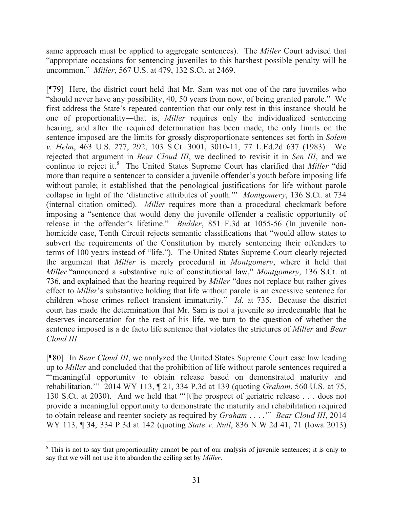same approach must be applied to aggregate sentences). The *Miller* Court advised that "appropriate occasions for sentencing juveniles to this harshest possible penalty will be uncommon." *Miller*, 567 U.S. at 479, 132 S.Ct. at 2469.

[¶79] Here, the district court held that Mr. Sam was not one of the rare juveniles who "should never have any possibility, 40, 50 years from now, of being granted parole." We first address the State's repeated contention that our only test in this instance should be one of proportionality―that is, *Miller* requires only the individualized sentencing hearing, and after the required determination has been made, the only limits on the sentence imposed are the limits for grossly disproportionate sentences set forth in *Solem v. Helm*, 463 U.S. 277, 292, 103 S.Ct. 3001, 3010-11, 77 L.Ed.2d 637 (1983). We rejected that argument in *Bear Cloud III*, we declined to revisit it in *Sen III*, and we continue to reject it.<sup>8</sup> The United States Supreme Court has clarified that *Miller* "did more than require a sentencer to consider a juvenile offender's youth before imposing life without parole; it established that the penological justifications for life without parole collapse in light of the 'distinctive attributes of youth.'" *Montgomery*, 136 S.Ct. at 734 (internal citation omitted). *Miller* requires more than a procedural checkmark before imposing a "sentence that would deny the juvenile offender a realistic opportunity of release in the offender's lifetime." *Budder*, 851 F.3d at 1055-56 (In juvenile nonhomicide case, Tenth Circuit rejects semantic classifications that "would allow states to subvert the requirements of the Constitution by merely sentencing their offenders to terms of 100 years instead of "life."). The United States Supreme Court clearly rejected the argument that *Miller* is merely procedural in *Montgomery*, where it held that *Miller* "announced a substantive rule of constitutional law," *Montgomery*, 136 S.Ct. at 736, and explained that the hearing required by *Miller* "does not replace but rather gives effect to *Miller*'s substantive holding that life without parole is an excessive sentence for children whose crimes reflect transient immaturity." *Id*. at 735. Because the district court has made the determination that Mr. Sam is not a juvenile so irredeemable that he deserves incarceration for the rest of his life, we turn to the question of whether the sentence imposed is a de facto life sentence that violates the strictures of *Miller* and *Bear Cloud III*.

[¶80] In *Bear Cloud III*, we analyzed the United States Supreme Court case law leading up to *Miller* and concluded that the prohibition of life without parole sentences required a "'meaningful opportunity to obtain release based on demonstrated maturity and rehabilitation.'" 2014 WY 113, ¶ 21, 334 P.3d at 139 (quoting *Graham*, 560 U.S. at 75, 130 S.Ct. at 2030). And we held that "'[t]he prospect of geriatric release . . . does not provide a meaningful opportunity to demonstrate the maturity and rehabilitation required to obtain release and reenter society as required by *Graham* . . . .'" *Bear Cloud III*, 2014 WY 113, ¶ 34, 334 P.3d at 142 (quoting *State v. Null*, 836 N.W.2d 41, 71 (Iowa 2013)

<sup>&</sup>lt;sup>8</sup> This is not to say that proportionality cannot be part of our analysis of juvenile sentences; it is only to say that we will not use it to abandon the ceiling set by *Miller*.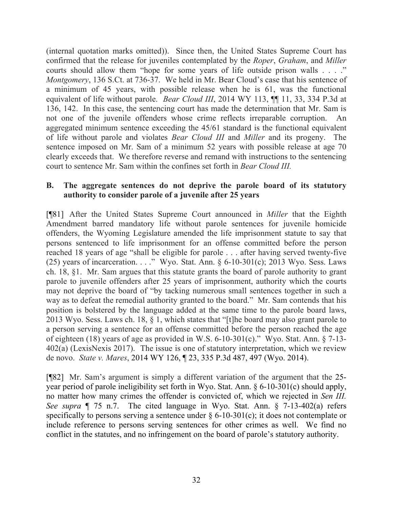(internal quotation marks omitted)). Since then, the United States Supreme Court has confirmed that the release for juveniles contemplated by the *Roper*, *Graham*, and *Miller* courts should allow them "hope for some years of life outside prison walls . . . ." *Montgomery*, 136 S.Ct. at 736-37. We held in Mr. Bear Cloud's case that his sentence of a minimum of 45 years, with possible release when he is 61, was the functional equivalent of life without parole. *Bear Cloud III*, 2014 WY 113,  $\P$  11, 33, 334 P.3d at 136, 142. In this case, the sentencing court has made the determination that Mr. Sam is not one of the juvenile offenders whose crime reflects irreparable corruption. An aggregated minimum sentence exceeding the 45/61 standard is the functional equivalent of life without parole and violates *Bear Cloud III* and *Miller* and its progeny. The sentence imposed on Mr. Sam of a minimum 52 years with possible release at age 70 clearly exceeds that. We therefore reverse and remand with instructions to the sentencing court to sentence Mr. Sam within the confines set forth in *Bear Cloud III.*

### **B. The aggregate sentences do not deprive the parole board of its statutory authority to consider parole of a juvenile after 25 years**

[¶81] After the United States Supreme Court announced in *Miller* that the Eighth Amendment barred mandatory life without parole sentences for juvenile homicide offenders, the Wyoming Legislature amended the life imprisonment statute to say that persons sentenced to life imprisonment for an offense committed before the person reached 18 years of age "shall be eligible for parole . . . after having served twenty-five (25) years of incarceration. . . . " Wyo. Stat. Ann.  $\S 6$ -10-301(c); 2013 Wyo. Sess. Laws ch. 18, §1. Mr. Sam argues that this statute grants the board of parole authority to grant parole to juvenile offenders after 25 years of imprisonment, authority which the courts may not deprive the board of "by tacking numerous small sentences together in such a way as to defeat the remedial authority granted to the board." Mr. Sam contends that his position is bolstered by the language added at the same time to the parole board laws, 2013 Wyo. Sess. Laws ch. 18, § 1, which states that "[t]he board may also grant parole to a person serving a sentence for an offense committed before the person reached the age of eighteen (18) years of age as provided in W.S. 6-10-301(c)." Wyo. Stat. Ann. § 7-13- 402(a) (LexisNexis 2017). The issue is one of statutory interpretation, which we review de novo. *State v. Mares*, 2014 WY 126, ¶ 23, 335 P.3d 487, 497 (Wyo. 2014).

[¶82] Mr. Sam's argument is simply a different variation of the argument that the 25 year period of parole ineligibility set forth in Wyo. Stat. Ann. § 6-10-301(c) should apply, no matter how many crimes the offender is convicted of, which we rejected in *Sen III. See supra* ¶ 75 n.7. The cited language in Wyo. Stat. Ann. § 7-13-402(a) refers specifically to persons serving a sentence under  $\S 6$ -10-301(c); it does not contemplate or include reference to persons serving sentences for other crimes as well. We find no conflict in the statutes, and no infringement on the board of parole's statutory authority.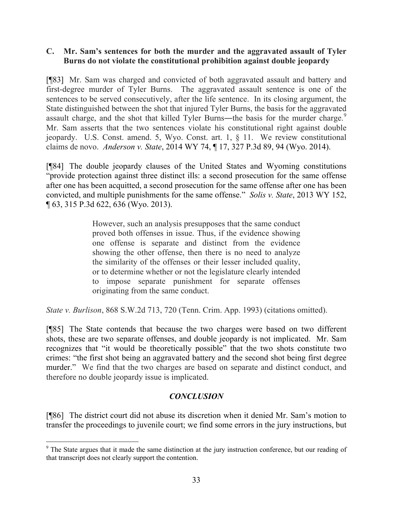### **C. Mr. Sam's sentences for both the murder and the aggravated assault of Tyler Burns do not violate the constitutional prohibition against double jeopardy**

[¶83] Mr. Sam was charged and convicted of both aggravated assault and battery and first-degree murder of Tyler Burns. The aggravated assault sentence is one of the sentences to be served consecutively, after the life sentence. In its closing argument, the State distinguished between the shot that injured Tyler Burns, the basis for the aggravated assault charge, and the shot that killed Tyler Burns—the basis for the murder charge.<sup>9</sup> Mr. Sam asserts that the two sentences violate his constitutional right against double jeopardy. U.S. Const. amend. 5, Wyo. Const. art. 1, § 11. We review constitutional claims de novo. *Anderson v. State*, 2014 WY 74, ¶ 17, 327 P.3d 89, 94 (Wyo. 2014).

[¶84] The double jeopardy clauses of the United States and Wyoming constitutions "provide protection against three distinct ills: a second prosecution for the same offense after one has been acquitted, a second prosecution for the same offense after one has been convicted, and multiple punishments for the same offense." *Solis v. State*, 2013 WY 152, ¶ 63, 315 P.3d 622, 636 (Wyo. 2013).

> However, such an analysis presupposes that the same conduct proved both offenses in issue. Thus, if the evidence showing one offense is separate and distinct from the evidence showing the other offense, then there is no need to analyze the similarity of the offenses or their lesser included quality, or to determine whether or not the legislature clearly intended to impose separate punishment for separate offenses originating from the same conduct.

*State v. Burlison*, 868 S.W.2d 713, 720 (Tenn. Crim. App. 1993) (citations omitted).

[¶85] The State contends that because the two charges were based on two different shots, these are two separate offenses, and double jeopardy is not implicated. Mr. Sam recognizes that "it would be theoretically possible" that the two shots constitute two crimes: "the first shot being an aggravated battery and the second shot being first degree murder." We find that the two charges are based on separate and distinct conduct, and therefore no double jeopardy issue is implicated.

# *CONCLUSION*

[¶86] The district court did not abuse its discretion when it denied Mr. Sam's motion to transfer the proceedings to juvenile court; we find some errors in the jury instructions, but

<sup>&</sup>lt;sup>9</sup> The State argues that it made the same distinction at the jury instruction conference, but our reading of that transcript does not clearly support the contention.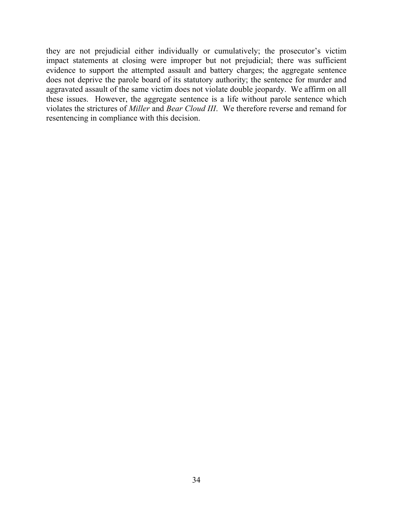they are not prejudicial either individually or cumulatively; the prosecutor's victim impact statements at closing were improper but not prejudicial; there was sufficient evidence to support the attempted assault and battery charges; the aggregate sentence does not deprive the parole board of its statutory authority; the sentence for murder and aggravated assault of the same victim does not violate double jeopardy. We affirm on all these issues. However, the aggregate sentence is a life without parole sentence which violates the strictures of *Miller* and *Bear Cloud III*. We therefore reverse and remand for resentencing in compliance with this decision.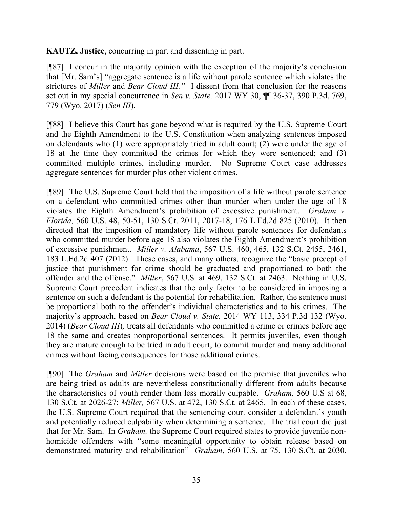**KAUTZ, Justice**, concurring in part and dissenting in part.

[¶87] I concur in the majority opinion with the exception of the majority's conclusion that [Mr. Sam's] "aggregate sentence is a life without parole sentence which violates the strictures of *Miller* and *Bear Cloud III."* I dissent from that conclusion for the reasons set out in my special concurrence in *Sen v. State,* 2017 WY 30, ¶¶ 36-37, 390 P.3d, 769, 779 (Wyo. 2017) (*Sen III*)*.* 

[¶88] I believe this Court has gone beyond what is required by the U.S. Supreme Court and the Eighth Amendment to the U.S. Constitution when analyzing sentences imposed on defendants who (1) were appropriately tried in adult court; (2) were under the age of 18 at the time they committed the crimes for which they were sentenced; and (3) committed multiple crimes, including murder. No Supreme Court case addresses aggregate sentences for murder plus other violent crimes.

[¶89] The U.S. Supreme Court held that the imposition of a life without parole sentence on a defendant who committed crimes other than murder when under the age of 18 violates the Eighth Amendment's prohibition of excessive punishment. *Graham v. Florida,* 560 U.S. 48, 50-51, 130 S.Ct. 2011, 2017-18, 176 L.Ed.2d 825 (2010). It then directed that the imposition of mandatory life without parole sentences for defendants who committed murder before age 18 also violates the Eighth Amendment's prohibition of excessive punishment. *Miller v. Alabama*, 567 U.S. 460, 465, 132 S.Ct. 2455, 2461, 183 L.Ed.2d 407 (2012). These cases, and many others, recognize the "basic precept of justice that punishment for crime should be graduated and proportioned to both the offender and the offense." *Miller*, 567 U.S. at 469, 132 S.Ct. at 2463. Nothing in U.S. Supreme Court precedent indicates that the only factor to be considered in imposing a sentence on such a defendant is the potential for rehabilitation. Rather, the sentence must be proportional both to the offender's individual characteristics and to his crimes. The majority's approach, based on *Bear Cloud v. State,* 2014 WY 113, 334 P.3d 132 (Wyo. 2014) (*Bear Cloud III*)*,* treats all defendants who committed a crime or crimes before age 18 the same and creates nonproportional sentences. It permits juveniles, even though they are mature enough to be tried in adult court, to commit murder and many additional crimes without facing consequences for those additional crimes.

[¶90] The *Graham* and *Miller* decisions were based on the premise that juveniles who are being tried as adults are nevertheless constitutionally different from adults because the characteristics of youth render them less morally culpable. *Graham,* 560 U.S at 68, 130 S.Ct. at 2026-27; *Miller,* 567 U.S. at 472, 130 S.Ct. at 2465. In each of these cases, the U.S. Supreme Court required that the sentencing court consider a defendant's youth and potentially reduced culpability when determining a sentence. The trial court did just that for Mr. Sam. In *Graham,* the Supreme Court required states to provide juvenile nonhomicide offenders with "some meaningful opportunity to obtain release based on demonstrated maturity and rehabilitation" *Graham*, 560 U.S. at 75, 130 S.Ct. at 2030,